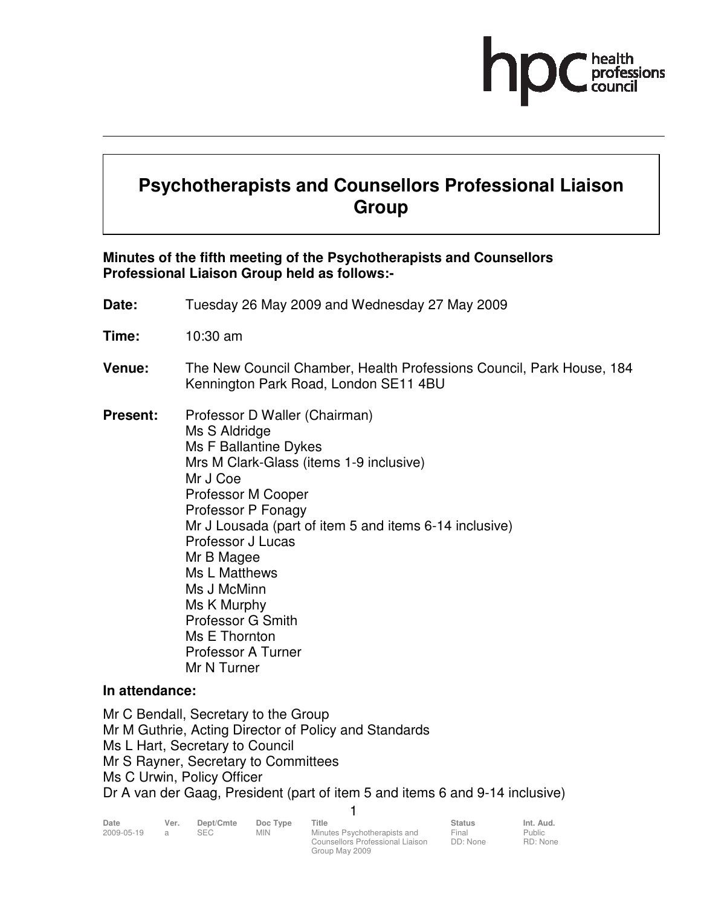# **Psychotherapists and Counsellors Professional Liaison Group**

#### **Minutes of the fifth meeting of the Psychotherapists and Counsellors Professional Liaison Group held as follows:-**

- **Date:** Tuesday 26 May 2009 and Wednesday 27 May 2009
- **Time:** 10:30 am
- **Venue:** The New Council Chamber, Health Professions Council, Park House, 184 Kennington Park Road, London SE11 4BU
- **Present:** Professor D Waller (Chairman) Ms S Aldridge Ms F Ballantine Dykes Mrs M Clark-Glass (items 1-9 inclusive) Mr J Coe Professor M Cooper Professor P Fonagy Mr J Lousada (part of item 5 and items 6-14 inclusive) Professor J Lucas Mr B Magee Ms L Matthews Ms J McMinn Ms K Murphy Professor G Smith Ms E Thornton Professor A Turner Mr N Turner

#### **In attendance:**

Mr C Bendall, Secretary to the Group Mr M Guthrie, Acting Director of Policy and Standards Ms L Hart, Secretary to Council Mr S Rayner, Secretary to Committees Ms C Urwin, Policy Officer Dr A van der Gaag, President (part of item 5 and items 6 and 9-14 inclusive)

| Date       | Ver. | Dept/Cmte  | Doc Type   | Title                            | <b>Status</b> | Int. Aud. |
|------------|------|------------|------------|----------------------------------|---------------|-----------|
| 2009-05-19 |      | <b>SEC</b> | <b>MIN</b> | Minutes Psychotherapists and     | Final         | Public    |
|            |      |            |            | Counsellors Professional Liaison | DD: None      | RD: None  |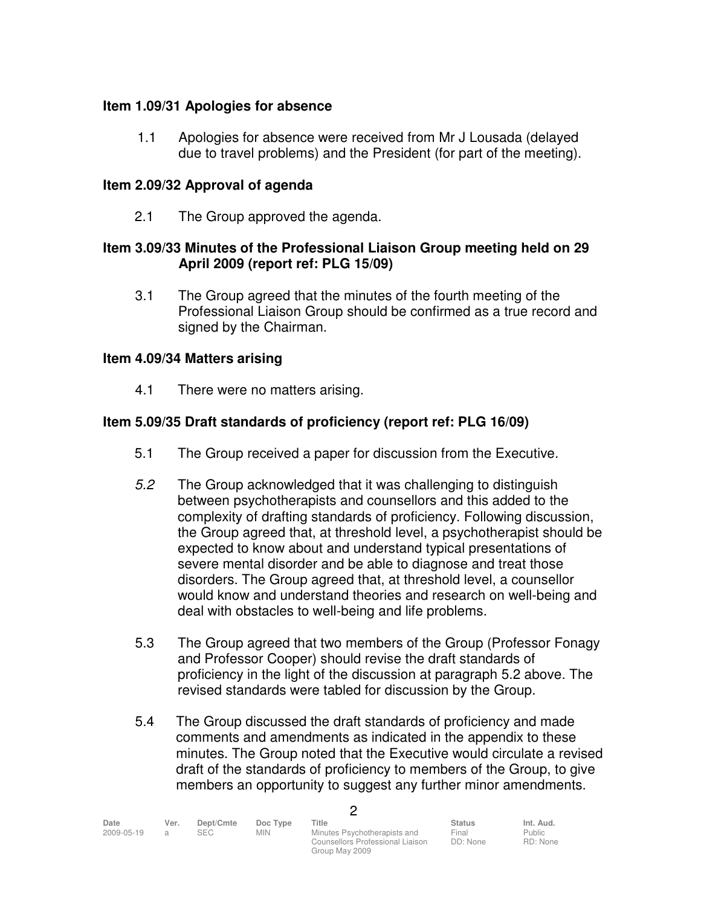## **Item 1.09/31 Apologies for absence**

1.1 Apologies for absence were received from Mr J Lousada (delayed due to travel problems) and the President (for part of the meeting).

## **Item 2.09/32 Approval of agenda**

2.1 The Group approved the agenda.

#### **Item 3.09/33 Minutes of the Professional Liaison Group meeting held on 29 April 2009 (report ref: PLG 15/09)**

3.1 The Group agreed that the minutes of the fourth meeting of the Professional Liaison Group should be confirmed as a true record and signed by the Chairman.

### **Item 4.09/34 Matters arising**

4.1 There were no matters arising.

## **Item 5.09/35 Draft standards of proficiency (report ref: PLG 16/09)**

- 5.1 The Group received a paper for discussion from the Executive.
- 5.2 The Group acknowledged that it was challenging to distinguish between psychotherapists and counsellors and this added to the complexity of drafting standards of proficiency. Following discussion, the Group agreed that, at threshold level, a psychotherapist should be expected to know about and understand typical presentations of severe mental disorder and be able to diagnose and treat those disorders. The Group agreed that, at threshold level, a counsellor would know and understand theories and research on well-being and deal with obstacles to well-being and life problems.
- 5.3 The Group agreed that two members of the Group (Professor Fonagy and Professor Cooper) should revise the draft standards of proficiency in the light of the discussion at paragraph 5.2 above. The revised standards were tabled for discussion by the Group.
- 5.4 The Group discussed the draft standards of proficiency and made comments and amendments as indicated in the appendix to these minutes. The Group noted that the Executive would circulate a revised draft of the standards of proficiency to members of the Group, to give members an opportunity to suggest any further minor amendments.

| Date       | Ver. | Dept/Cmte | Doc Type | Title                            | <b>Status</b> | Int. Aud. |
|------------|------|-----------|----------|----------------------------------|---------------|-----------|
| 2009-05-19 |      | SEC.      | MIN      | Minutes Psychotherapists and     | Final         | Public    |
|            |      |           |          | Counsellors Professional Liaison | DD: None      | RD: None  |
|            |      |           |          | Group May 2009                   |               |           |

 $\mathfrak{p}$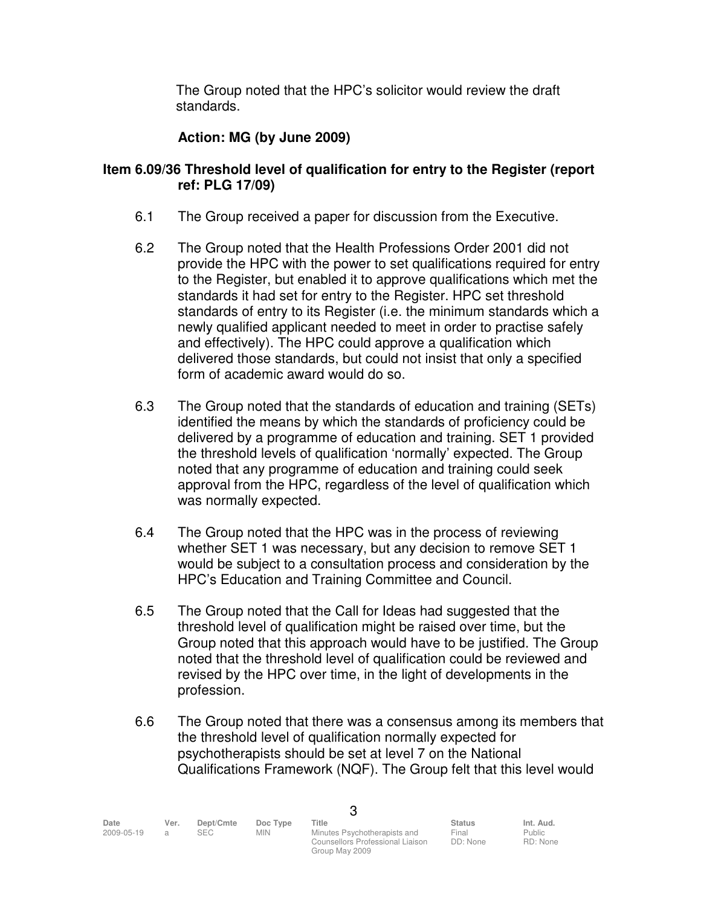The Group noted that the HPC's solicitor would review the draft standards.

## **Action: MG (by June 2009)**

#### **Item 6.09/36 Threshold level of qualification for entry to the Register (report ref: PLG 17/09)**

- 6.1 The Group received a paper for discussion from the Executive.
- 6.2 The Group noted that the Health Professions Order 2001 did not provide the HPC with the power to set qualifications required for entry to the Register, but enabled it to approve qualifications which met the standards it had set for entry to the Register. HPC set threshold standards of entry to its Register (i.e. the minimum standards which a newly qualified applicant needed to meet in order to practise safely and effectively). The HPC could approve a qualification which delivered those standards, but could not insist that only a specified form of academic award would do so.
- 6.3 The Group noted that the standards of education and training (SETs) identified the means by which the standards of proficiency could be delivered by a programme of education and training. SET 1 provided the threshold levels of qualification 'normally' expected. The Group noted that any programme of education and training could seek approval from the HPC, regardless of the level of qualification which was normally expected.
- 6.4 The Group noted that the HPC was in the process of reviewing whether SET 1 was necessary, but any decision to remove SET 1 would be subject to a consultation process and consideration by the HPC's Education and Training Committee and Council.
- 6.5 The Group noted that the Call for Ideas had suggested that the threshold level of qualification might be raised over time, but the Group noted that this approach would have to be justified. The Group noted that the threshold level of qualification could be reviewed and revised by the HPC over time, in the light of developments in the profession.
- 6.6 The Group noted that there was a consensus among its members that the threshold level of qualification normally expected for psychotherapists should be set at level 7 on the National Qualifications Framework (NQF). The Group felt that this level would

| Date       | Ver. | Dept/Cmte  | Doc Type | Title                            | <b>Status</b> | Int. Aud. |  |
|------------|------|------------|----------|----------------------------------|---------------|-----------|--|
| 2009-05-19 |      | <b>SEC</b> | MIN      | Minutes Psychotherapists and     | Final         | Public    |  |
|            |      |            |          | Counsellors Professional Liaison | DD: None      | RD: None  |  |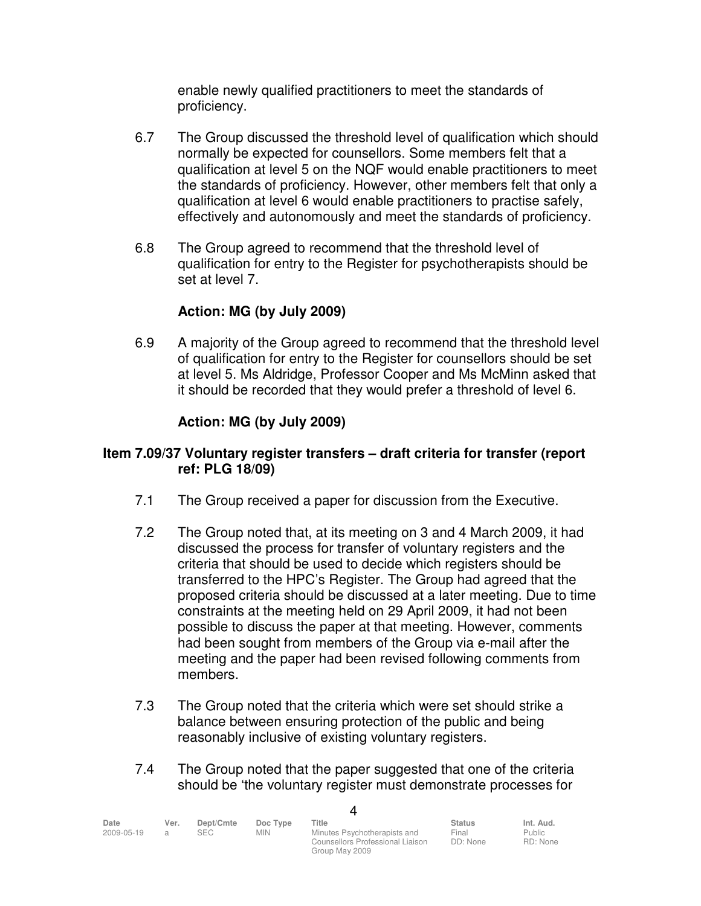enable newly qualified practitioners to meet the standards of proficiency.

- 6.7 The Group discussed the threshold level of qualification which should normally be expected for counsellors. Some members felt that a qualification at level 5 on the NQF would enable practitioners to meet the standards of proficiency. However, other members felt that only a qualification at level 6 would enable practitioners to practise safely, effectively and autonomously and meet the standards of proficiency.
- 6.8 The Group agreed to recommend that the threshold level of qualification for entry to the Register for psychotherapists should be set at level 7.

## **Action: MG (by July 2009)**

 6.9 A majority of the Group agreed to recommend that the threshold level of qualification for entry to the Register for counsellors should be set at level 5. Ms Aldridge, Professor Cooper and Ms McMinn asked that it should be recorded that they would prefer a threshold of level 6.

## **Action: MG (by July 2009)**

### **Item 7.09/37 Voluntary register transfers – draft criteria for transfer (report ref: PLG 18/09)**

- 7.1 The Group received a paper for discussion from the Executive.
- 7.2 The Group noted that, at its meeting on 3 and 4 March 2009, it had discussed the process for transfer of voluntary registers and the criteria that should be used to decide which registers should be transferred to the HPC's Register. The Group had agreed that the proposed criteria should be discussed at a later meeting. Due to time constraints at the meeting held on 29 April 2009, it had not been possible to discuss the paper at that meeting. However, comments had been sought from members of the Group via e-mail after the meeting and the paper had been revised following comments from members.
- 7.3 The Group noted that the criteria which were set should strike a balance between ensuring protection of the public and being reasonably inclusive of existing voluntary registers.
- 7.4 The Group noted that the paper suggested that one of the criteria should be 'the voluntary register must demonstrate processes for

4

| Date       | Ver. | Dept/Cmte | Doc Type | Title                            | <b>Status</b> | Int. Aud. |
|------------|------|-----------|----------|----------------------------------|---------------|-----------|
| 2009-05-19 |      | SEC.      | MIN.     | Minutes Psychotherapists and     | Final         | Public    |
|            |      |           |          | Counsellors Professional Liaison | DD: None      | RD: None  |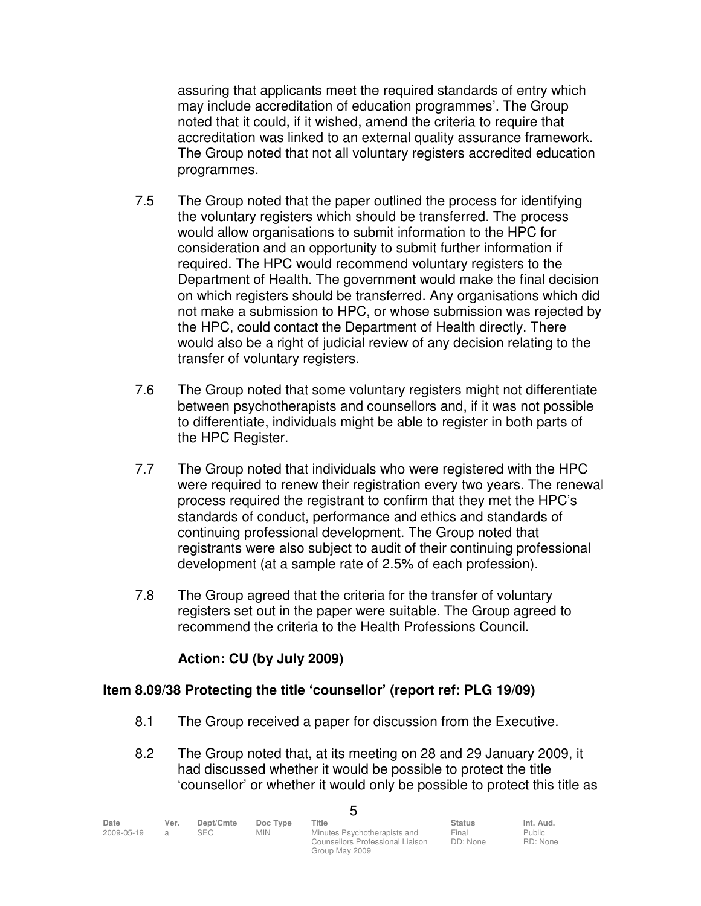assuring that applicants meet the required standards of entry which may include accreditation of education programmes'. The Group noted that it could, if it wished, amend the criteria to require that accreditation was linked to an external quality assurance framework. The Group noted that not all voluntary registers accredited education programmes.

- 7.5 The Group noted that the paper outlined the process for identifying the voluntary registers which should be transferred. The process would allow organisations to submit information to the HPC for consideration and an opportunity to submit further information if required. The HPC would recommend voluntary registers to the Department of Health. The government would make the final decision on which registers should be transferred. Any organisations which did not make a submission to HPC, or whose submission was rejected by the HPC, could contact the Department of Health directly. There would also be a right of judicial review of any decision relating to the transfer of voluntary registers.
- 7.6 The Group noted that some voluntary registers might not differentiate between psychotherapists and counsellors and, if it was not possible to differentiate, individuals might be able to register in both parts of the HPC Register.
- 7.7 The Group noted that individuals who were registered with the HPC were required to renew their registration every two years. The renewal process required the registrant to confirm that they met the HPC's standards of conduct, performance and ethics and standards of continuing professional development. The Group noted that registrants were also subject to audit of their continuing professional development (at a sample rate of 2.5% of each profession).
- 7.8 The Group agreed that the criteria for the transfer of voluntary registers set out in the paper were suitable. The Group agreed to recommend the criteria to the Health Professions Council.

## **Action: CU (by July 2009)**

#### **Item 8.09/38 Protecting the title 'counsellor' (report ref: PLG 19/09)**

- 8.1 The Group received a paper for discussion from the Executive.
- 8.2 The Group noted that, at its meeting on 28 and 29 January 2009, it had discussed whether it would be possible to protect the title 'counsellor' or whether it would only be possible to protect this title as

| Date       | Ver. | Dept/Cmte | Doc Type | Title                            | <b>Status</b> | Int. Aud.     |
|------------|------|-----------|----------|----------------------------------|---------------|---------------|
| 2009-05-19 |      | SEC.      | MIN      | Minutes Psychotherapists and     | Final         | <b>Public</b> |
|            |      |           |          | Counsellors Professional Liaison | DD: None      | RD: None      |

**г**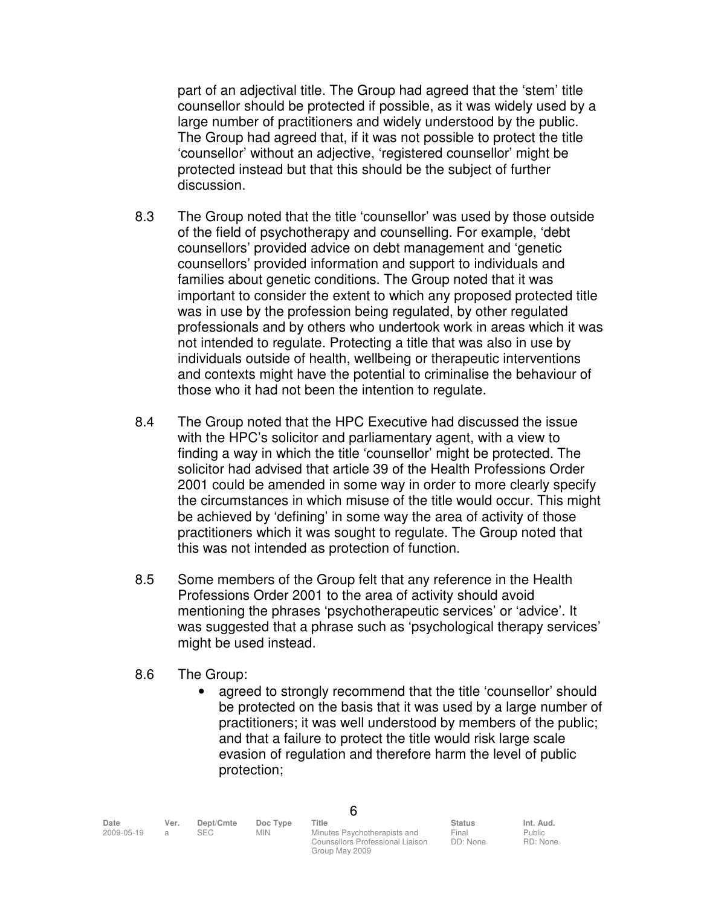part of an adjectival title. The Group had agreed that the 'stem' title counsellor should be protected if possible, as it was widely used by a large number of practitioners and widely understood by the public. The Group had agreed that, if it was not possible to protect the title 'counsellor' without an adjective, 'registered counsellor' might be protected instead but that this should be the subject of further discussion.

- 8.3 The Group noted that the title 'counsellor' was used by those outside of the field of psychotherapy and counselling. For example, 'debt counsellors' provided advice on debt management and 'genetic counsellors' provided information and support to individuals and families about genetic conditions. The Group noted that it was important to consider the extent to which any proposed protected title was in use by the profession being regulated, by other regulated professionals and by others who undertook work in areas which it was not intended to regulate. Protecting a title that was also in use by individuals outside of health, wellbeing or therapeutic interventions and contexts might have the potential to criminalise the behaviour of those who it had not been the intention to regulate.
- 8.4 The Group noted that the HPC Executive had discussed the issue with the HPC's solicitor and parliamentary agent, with a view to finding a way in which the title 'counsellor' might be protected. The solicitor had advised that article 39 of the Health Professions Order 2001 could be amended in some way in order to more clearly specify the circumstances in which misuse of the title would occur. This might be achieved by 'defining' in some way the area of activity of those practitioners which it was sought to regulate. The Group noted that this was not intended as protection of function.
- 8.5 Some members of the Group felt that any reference in the Health Professions Order 2001 to the area of activity should avoid mentioning the phrases 'psychotherapeutic services' or 'advice'. It was suggested that a phrase such as 'psychological therapy services' might be used instead.
- 8.6 The Group:
	- agreed to strongly recommend that the title 'counsellor' should be protected on the basis that it was used by a large number of practitioners; it was well understood by members of the public; and that a failure to protect the title would risk large scale evasion of regulation and therefore harm the level of public protection;

6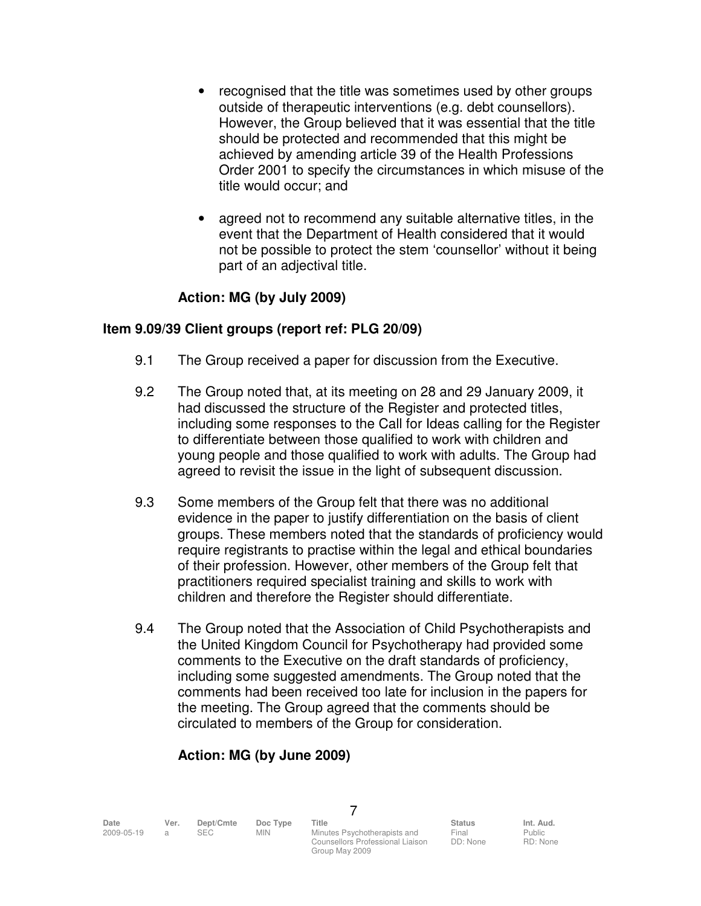- recognised that the title was sometimes used by other groups outside of therapeutic interventions (e.g. debt counsellors). However, the Group believed that it was essential that the title should be protected and recommended that this might be achieved by amending article 39 of the Health Professions Order 2001 to specify the circumstances in which misuse of the title would occur; and
- agreed not to recommend any suitable alternative titles, in the event that the Department of Health considered that it would not be possible to protect the stem 'counsellor' without it being part of an adjectival title.

## **Action: MG (by July 2009)**

#### **Item 9.09/39 Client groups (report ref: PLG 20/09)**

- 9.1 The Group received a paper for discussion from the Executive.
- 9.2 The Group noted that, at its meeting on 28 and 29 January 2009, it had discussed the structure of the Register and protected titles, including some responses to the Call for Ideas calling for the Register to differentiate between those qualified to work with children and young people and those qualified to work with adults. The Group had agreed to revisit the issue in the light of subsequent discussion.
- 9.3 Some members of the Group felt that there was no additional evidence in the paper to justify differentiation on the basis of client groups. These members noted that the standards of proficiency would require registrants to practise within the legal and ethical boundaries of their profession. However, other members of the Group felt that practitioners required specialist training and skills to work with children and therefore the Register should differentiate.
- 9.4 The Group noted that the Association of Child Psychotherapists and the United Kingdom Council for Psychotherapy had provided some comments to the Executive on the draft standards of proficiency, including some suggested amendments. The Group noted that the comments had been received too late for inclusion in the papers for the meeting. The Group agreed that the comments should be circulated to members of the Group for consideration.

## **Action: MG (by June 2009)**

| Date       | Ver. | Dept/Cmte | Doc Type | Title                            | <b>Status</b> | Int. Aud. |
|------------|------|-----------|----------|----------------------------------|---------------|-----------|
| 2009-05-19 |      |           | MIN      | Minutes Psychotherapists and     | Final         | Public    |
|            |      |           |          | Counsellors Professional Ligison | DD: None      | $RD·$ Non |

7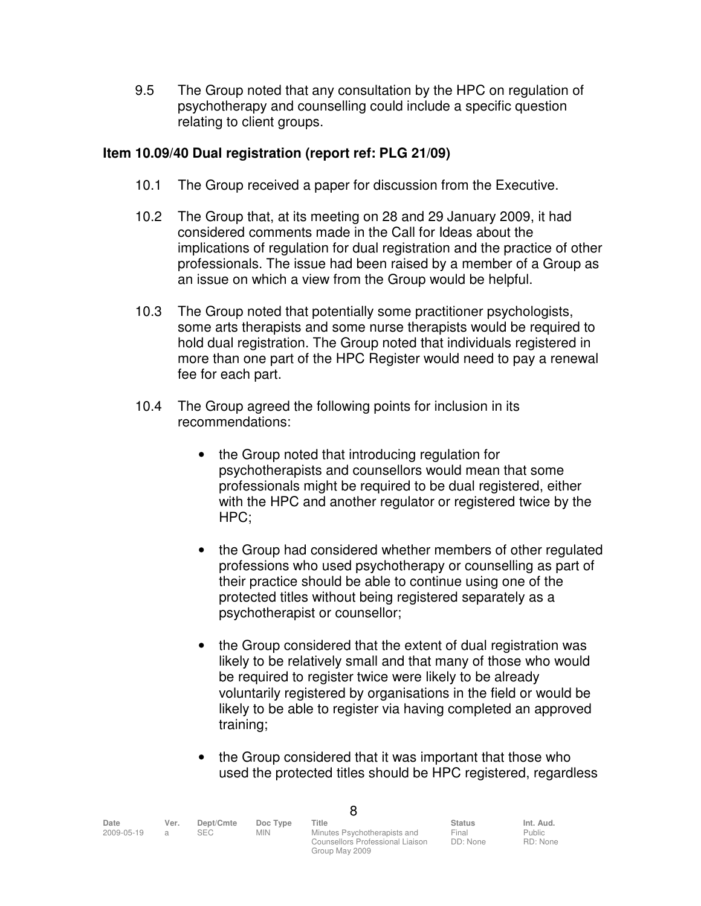9.5 The Group noted that any consultation by the HPC on regulation of psychotherapy and counselling could include a specific question relating to client groups.

### **Item 10.09/40 Dual registration (report ref: PLG 21/09)**

- 10.1 The Group received a paper for discussion from the Executive.
- 10.2 The Group that, at its meeting on 28 and 29 January 2009, it had considered comments made in the Call for Ideas about the implications of regulation for dual registration and the practice of other professionals. The issue had been raised by a member of a Group as an issue on which a view from the Group would be helpful.
- 10.3 The Group noted that potentially some practitioner psychologists, some arts therapists and some nurse therapists would be required to hold dual registration. The Group noted that individuals registered in more than one part of the HPC Register would need to pay a renewal fee for each part.
- 10.4 The Group agreed the following points for inclusion in its recommendations:
	- the Group noted that introducing regulation for psychotherapists and counsellors would mean that some professionals might be required to be dual registered, either with the HPC and another regulator or registered twice by the HPC;
	- the Group had considered whether members of other regulated professions who used psychotherapy or counselling as part of their practice should be able to continue using one of the protected titles without being registered separately as a psychotherapist or counsellor;
	- the Group considered that the extent of dual registration was likely to be relatively small and that many of those who would be required to register twice were likely to be already voluntarily registered by organisations in the field or would be likely to be able to register via having completed an approved training;
	- the Group considered that it was important that those who used the protected titles should be HPC registered, regardless

| Date       | Ver. | Dept/Cmte | Doc Type | Title                            | Status   | Int. Aud.     |  |
|------------|------|-----------|----------|----------------------------------|----------|---------------|--|
| 2009-05-19 |      | SEC.      | MIN      | Minutes Psychotherapists and     | Final    | <b>Public</b> |  |
|            |      |           |          | Counsellors Professional Liaison | DD: None | RD: None      |  |

| e<br>۰. |
|---------|
|---------|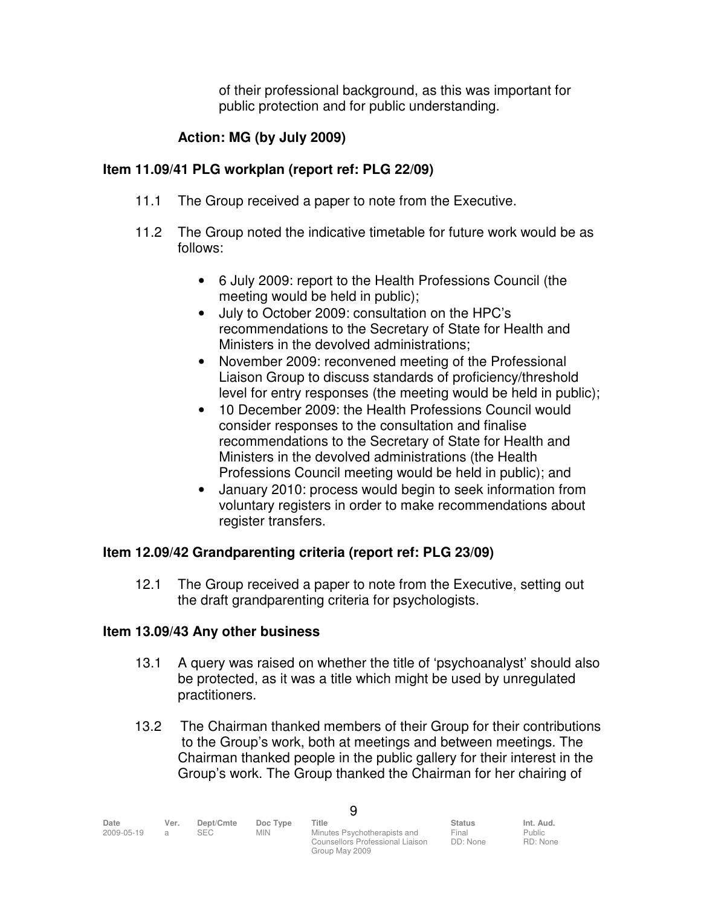of their professional background, as this was important for public protection and for public understanding.

## **Action: MG (by July 2009)**

## **Item 11.09/41 PLG workplan (report ref: PLG 22/09)**

- 11.1 The Group received a paper to note from the Executive.
- 11.2 The Group noted the indicative timetable for future work would be as follows:
	- 6 July 2009: report to the Health Professions Council (the meeting would be held in public);
	- July to October 2009: consultation on the HPC's recommendations to the Secretary of State for Health and Ministers in the devolved administrations;
	- November 2009: reconvened meeting of the Professional Liaison Group to discuss standards of proficiency/threshold level for entry responses (the meeting would be held in public);
	- 10 December 2009: the Health Professions Council would consider responses to the consultation and finalise recommendations to the Secretary of State for Health and Ministers in the devolved administrations (the Health Professions Council meeting would be held in public); and
	- January 2010: process would begin to seek information from voluntary registers in order to make recommendations about register transfers.

## **Item 12.09/42 Grandparenting criteria (report ref: PLG 23/09)**

 12.1 The Group received a paper to note from the Executive, setting out the draft grandparenting criteria for psychologists.

#### **Item 13.09/43 Any other business**

- 13.1 A query was raised on whether the title of 'psychoanalyst' should also be protected, as it was a title which might be used by unregulated practitioners.
- 13.2 The Chairman thanked members of their Group for their contributions to the Group's work, both at meetings and between meetings. The Chairman thanked people in the public gallery for their interest in the Group's work. The Group thanked the Chairman for her chairing of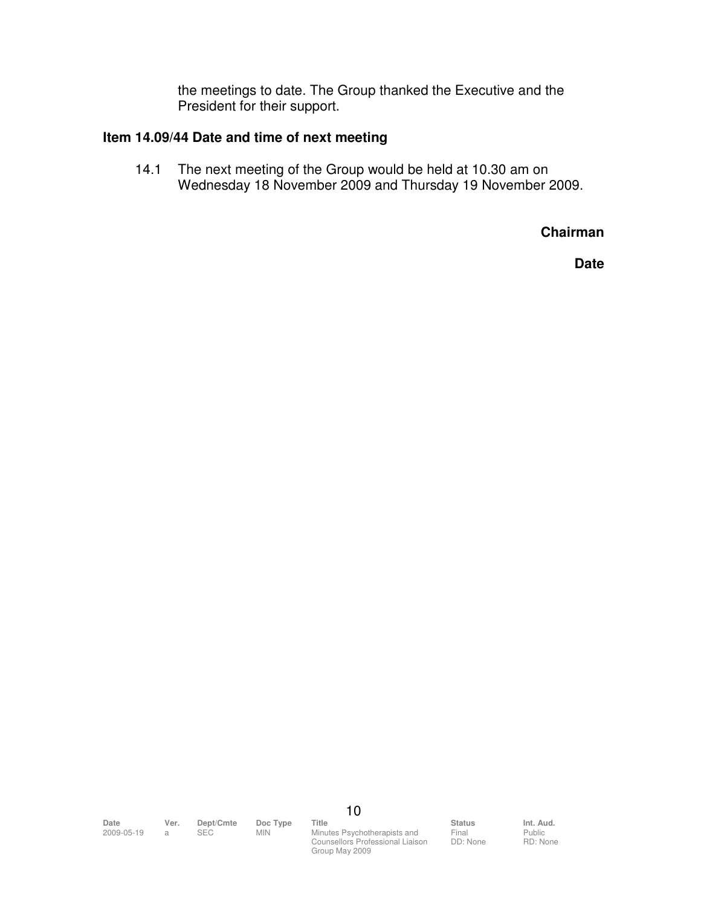the meetings to date. The Group thanked the Executive and the President for their support.

#### **Item 14.09/44 Date and time of next meeting**

 14.1 The next meeting of the Group would be held at 10.30 am on Wednesday 18 November 2009 and Thursday 19 November 2009.

**Chairman** 

**Date** 

10

**Date Ver. Dept/Cmte Doc Type Title Status Status Int. Aud.**<br>2009-05-19 a SEC MIN Minutes Psychotherapists and Final Public Minutes Psychotherapists and Counsellors Professional Liaison Group May 2009

Final DD: None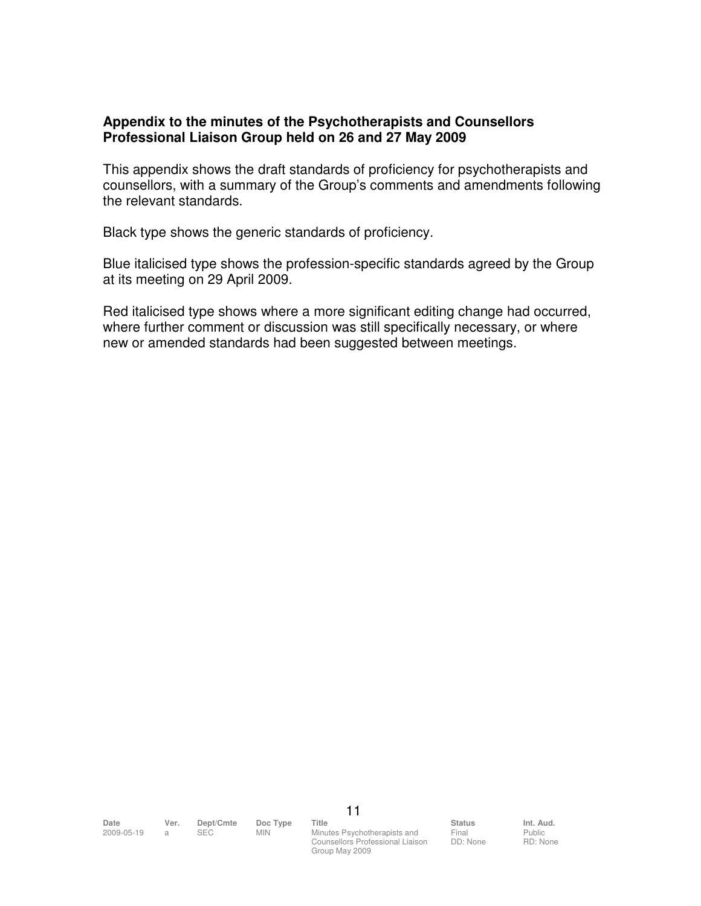#### **Appendix to the minutes of the Psychotherapists and Counsellors Professional Liaison Group held on 26 and 27 May 2009**

This appendix shows the draft standards of proficiency for psychotherapists and counsellors, with a summary of the Group's comments and amendments following the relevant standards.

Black type shows the generic standards of proficiency.

Blue italicised type shows the profession-specific standards agreed by the Group at its meeting on 29 April 2009.

Red italicised type shows where a more significant editing change had occurred, where further comment or discussion was still specifically necessary, or where new or amended standards had been suggested between meetings.

2009-05-19 a SEC MIN Minutes Psychotherapists and Counsellors Professional Liaison Group May 2009

Final DD: None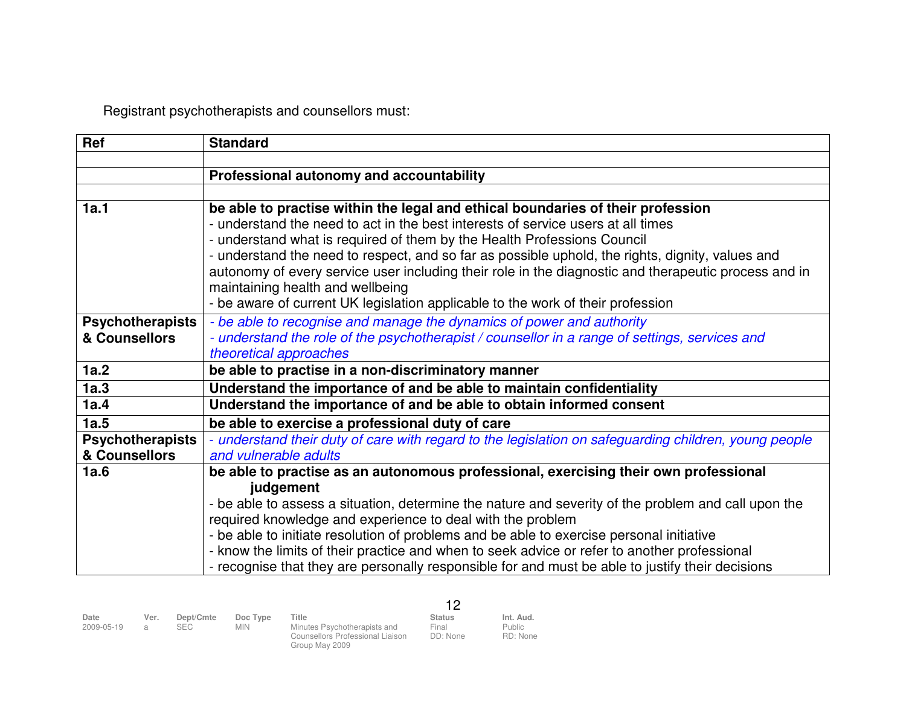Registrant psychotherapists and counsellors must:

| Ref                     | <b>Standard</b>                                                                                       |
|-------------------------|-------------------------------------------------------------------------------------------------------|
|                         |                                                                                                       |
|                         | Professional autonomy and accountability                                                              |
|                         |                                                                                                       |
| 1a.1                    | be able to practise within the legal and ethical boundaries of their profession                       |
|                         | - understand the need to act in the best interests of service users at all times                      |
|                         | - understand what is required of them by the Health Professions Council                               |
|                         | - understand the need to respect, and so far as possible uphold, the rights, dignity, values and      |
|                         | autonomy of every service user including their role in the diagnostic and therapeutic process and in  |
|                         | maintaining health and wellbeing                                                                      |
|                         | - be aware of current UK legislation applicable to the work of their profession                       |
| <b>Psychotherapists</b> | - be able to recognise and manage the dynamics of power and authority                                 |
| & Counsellors           | - understand the role of the psychotherapist / counsellor in a range of settings, services and        |
|                         | theoretical approaches                                                                                |
| 1a.2                    | be able to practise in a non-discriminatory manner                                                    |
| 1a.3                    | Understand the importance of and be able to maintain confidentiality                                  |
| 1a.4                    | Understand the importance of and be able to obtain informed consent                                   |
| 1a.5                    | be able to exercise a professional duty of care                                                       |
| Psychotherapists        | - understand their duty of care with regard to the legislation on safeguarding children, young people |
| & Counsellors           | and vulnerable adults                                                                                 |
| 1a.6                    | be able to practise as an autonomous professional, exercising their own professional                  |
|                         | judgement                                                                                             |
|                         | - be able to assess a situation, determine the nature and severity of the problem and call upon the   |
|                         | required knowledge and experience to deal with the problem                                            |
|                         | - be able to initiate resolution of problems and be able to exercise personal initiative              |
|                         | - know the limits of their practice and when to seek advice or refer to another professional          |
|                         | - recognise that they are personally responsible for and must be able to justify their decisions      |

| Date<br>2009-05-19 | Ver. | Dept/Cmte<br><b>SEC</b> | Doc Type<br><b>MIN</b> | Title<br>Minutes Psychotherapists and<br>Counsellors Professional Liaison<br>Group May 2009 | Status<br>Final<br>DD: None | Int. Aud.<br>Public<br>RD: None |
|--------------------|------|-------------------------|------------------------|---------------------------------------------------------------------------------------------|-----------------------------|---------------------------------|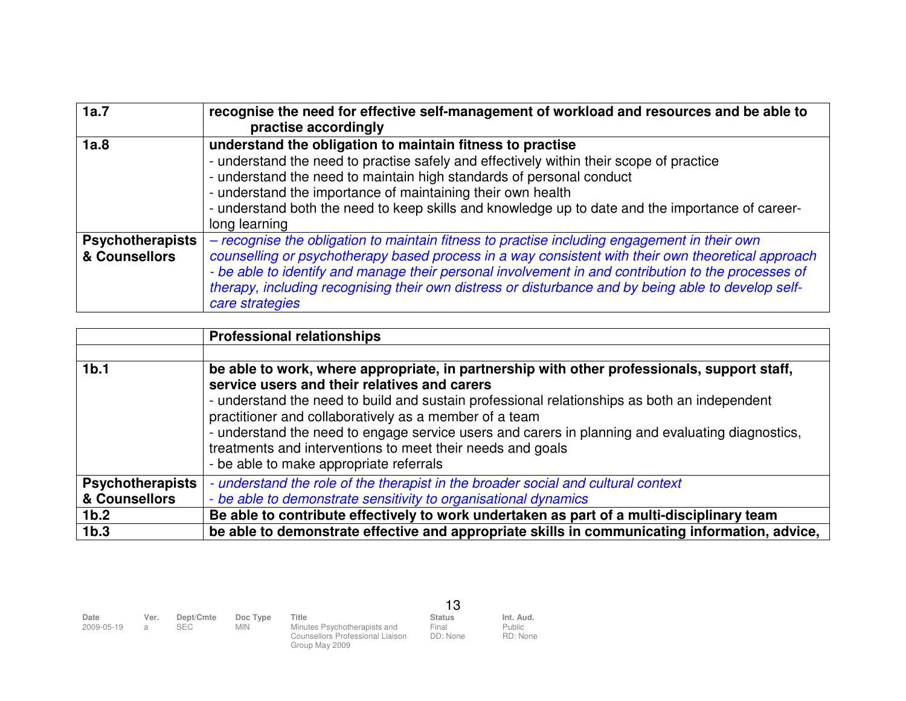| 1a.7                                     | recognise the need for effective self-management of workload and resources and be able to<br>practise accordingly                                                                                                                                                                                                                                                                                                                   |
|------------------------------------------|-------------------------------------------------------------------------------------------------------------------------------------------------------------------------------------------------------------------------------------------------------------------------------------------------------------------------------------------------------------------------------------------------------------------------------------|
| 1a.8                                     | understand the obligation to maintain fitness to practise<br>- understand the need to practise safely and effectively within their scope of practice<br>- understand the need to maintain high standards of personal conduct<br>- understand the importance of maintaining their own health<br>- understand both the need to keep skills and knowledge up to date and the importance of career-<br>long learning                    |
| <b>Psychotherapists</b><br>& Counsellors | - recognise the obligation to maintain fitness to practise including engagement in their own<br>counselling or psychotherapy based process in a way consistent with their own theoretical approach<br>- be able to identify and manage their personal involvement in and contribution to the processes of<br>therapy, including recognising their own distress or disturbance and by being able to develop self-<br>care strategies |

|                         | <b>Professional relationships</b>                                                                |
|-------------------------|--------------------------------------------------------------------------------------------------|
|                         |                                                                                                  |
| 1 <sub>b.1</sub>        | be able to work, where appropriate, in partnership with other professionals, support staff,      |
|                         | service users and their relatives and carers                                                     |
|                         | - understand the need to build and sustain professional relationships as both an independent     |
|                         | practitioner and collaboratively as a member of a team                                           |
|                         | - understand the need to engage service users and carers in planning and evaluating diagnostics, |
|                         | treatments and interventions to meet their needs and goals                                       |
|                         | - be able to make appropriate referrals                                                          |
| <b>Psychotherapists</b> | - understand the role of the therapist in the broader social and cultural context                |
| & Counsellors           | - be able to demonstrate sensitivity to organisational dynamics                                  |
| 1 <sub>b.2</sub>        | Be able to contribute effectively to work undertaken as part of a multi-disciplinary team        |
| 1 <sub>b.3</sub>        | be able to demonstrate effective and appropriate skills in communicating information, advice,    |

| Date<br>2009-05-19 | Ver. | Dept/Cmte<br><b>SEC</b> | Doc Type<br>MIN | Title<br>Minutes Psychotherapists and<br>Counsellors Professional Liaison | Status<br>Final<br>DD: None | Int. Aud.<br>Public<br>RD: None |
|--------------------|------|-------------------------|-----------------|---------------------------------------------------------------------------|-----------------------------|---------------------------------|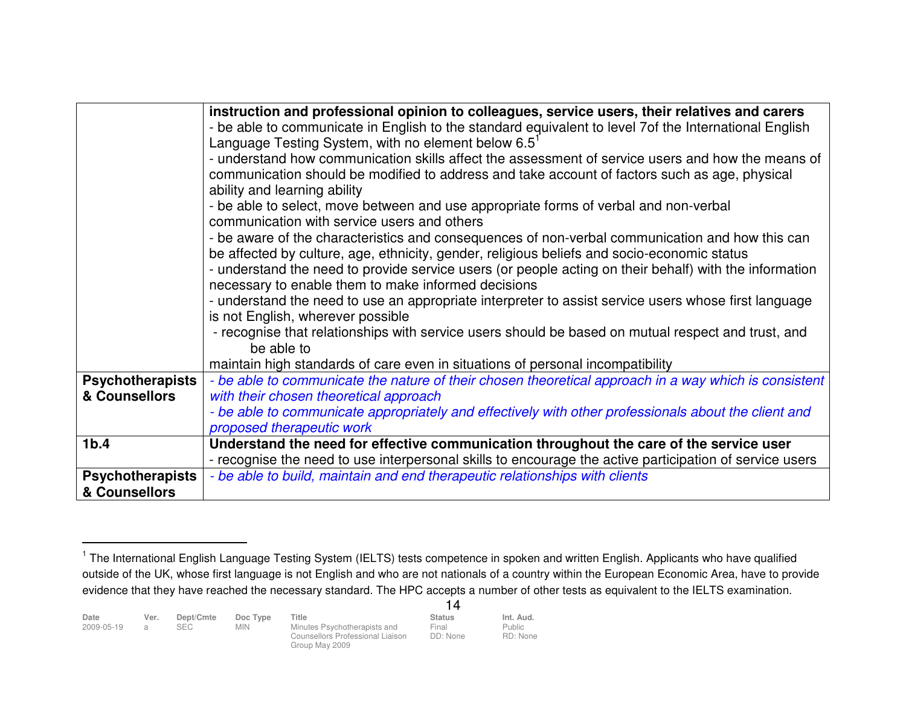|                         | instruction and professional opinion to colleagues, service users, their relatives and carers                    |
|-------------------------|------------------------------------------------------------------------------------------------------------------|
|                         | - be able to communicate in English to the standard equivalent to level 7of the International English            |
|                         | Language Testing System, with no element below 6.5 $^{\circ}$                                                    |
|                         | - understand how communication skills affect the assessment of service users and how the means of                |
|                         | communication should be modified to address and take account of factors such as age, physical                    |
|                         | ability and learning ability                                                                                     |
|                         | - be able to select, move between and use appropriate forms of verbal and non-verbal                             |
|                         | communication with service users and others                                                                      |
|                         | - be aware of the characteristics and consequences of non-verbal communication and how this can                  |
|                         | be affected by culture, age, ethnicity, gender, religious beliefs and socio-economic status                      |
|                         | - understand the need to provide service users (or people acting on their behalf) with the information           |
|                         | necessary to enable them to make informed decisions                                                              |
|                         | - understand the need to use an appropriate interpreter to assist service users whose first language             |
|                         | is not English, wherever possible                                                                                |
|                         | - recognise that relationships with service users should be based on mutual respect and trust, and<br>be able to |
|                         |                                                                                                                  |
|                         | maintain high standards of care even in situations of personal incompatibility                                   |
| <b>Psychotherapists</b> | - be able to communicate the nature of their chosen theoretical approach in a way which is consistent            |
| & Counsellors           | with their chosen theoretical approach                                                                           |
|                         | - be able to communicate appropriately and effectively with other professionals about the client and             |
|                         | proposed therapeutic work                                                                                        |
| 1 <sub>b.4</sub>        | Understand the need for effective communication throughout the care of the service user                          |
|                         | - recognise the need to use interpersonal skills to encourage the active participation of service users          |
| <b>Psychotherapists</b> | - be able to build, maintain and end therapeutic relationships with clients                                      |
| & Counsellors           |                                                                                                                  |

<sup>&</sup>lt;sup>1</sup> The International English Language Testing System (IELTS) tests competence in spoken and written English. Applicants who have qualified outside of the UK, whose first language is not English and who are not nationals of a country within the European Economic Area, have to provide evidence that they have reached the necessary standard. The HPC accepts a number of other tests as equivalent to the IELTS examination.

|                    |                       |                   |                        |                                                                                             | 14                                 |                                 |
|--------------------|-----------------------|-------------------|------------------------|---------------------------------------------------------------------------------------------|------------------------------------|---------------------------------|
| Date<br>2009-05-19 | Ver.<br>$\mathcal{A}$ | Dept/Cmte<br>SEC. | Doc Type<br><b>MIN</b> | Title<br>Minutes Psychotherapists and<br>Counsellors Professional Liaison<br>Group May 2009 | <b>Status</b><br>Final<br>DD: None | Int. Aud.<br>Public<br>RD: None |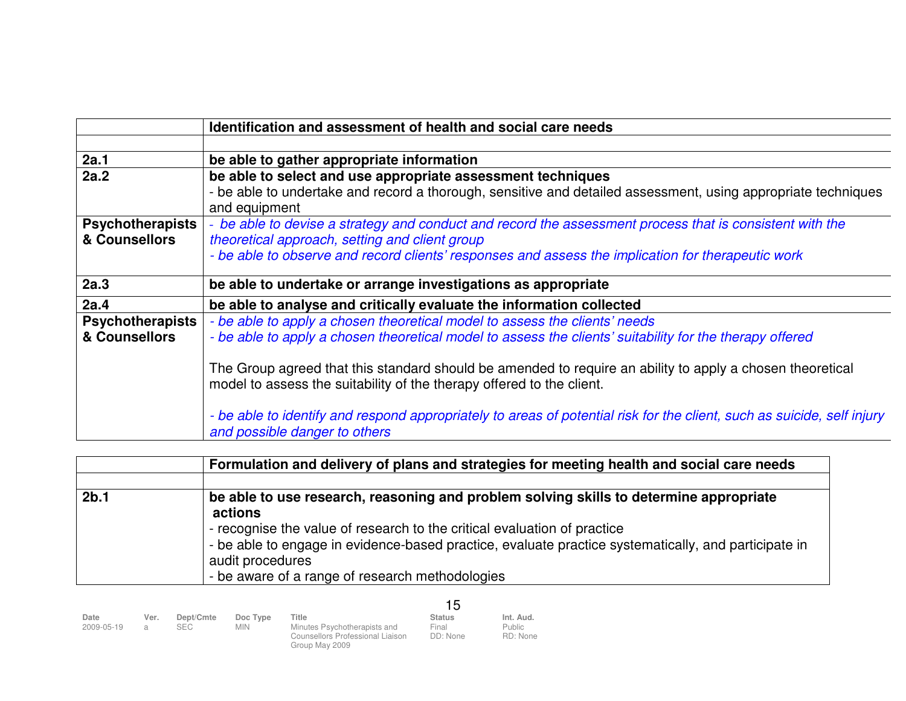|                         | Identification and assessment of health and social care needs                                                                                            |
|-------------------------|----------------------------------------------------------------------------------------------------------------------------------------------------------|
|                         |                                                                                                                                                          |
| 2a.1                    | be able to gather appropriate information                                                                                                                |
| 2a.2                    | be able to select and use appropriate assessment techniques                                                                                              |
|                         | - be able to undertake and record a thorough, sensitive and detailed assessment, using appropriate techniques                                            |
|                         | and equipment                                                                                                                                            |
| <b>Psychotherapists</b> | - be able to devise a strategy and conduct and record the assessment process that is consistent with the                                                 |
| & Counsellors           | theoretical approach, setting and client group                                                                                                           |
|                         | - be able to observe and record clients' responses and assess the implication for therapeutic work                                                       |
|                         |                                                                                                                                                          |
| 2a.3                    | be able to undertake or arrange investigations as appropriate                                                                                            |
| 2a.4                    | be able to analyse and critically evaluate the information collected                                                                                     |
| Psychotherapists        | - be able to apply a chosen theoretical model to assess the clients' needs                                                                               |
| & Counsellors           | - be able to apply a chosen theoretical model to assess the clients' suitability for the therapy offered                                                 |
|                         |                                                                                                                                                          |
|                         | The Group agreed that this standard should be amended to require an ability to apply a chosen theoretical                                                |
|                         | model to assess the suitability of the therapy offered to the client.                                                                                    |
|                         |                                                                                                                                                          |
|                         | - be able to identify and respond appropriately to areas of potential risk for the client, such as suicide, self injury<br>and possible danger to others |

|                  | Formulation and delivery of plans and strategies for meeting health and social care needs                                                                                                                                                                                                                                                                    |
|------------------|--------------------------------------------------------------------------------------------------------------------------------------------------------------------------------------------------------------------------------------------------------------------------------------------------------------------------------------------------------------|
|                  |                                                                                                                                                                                                                                                                                                                                                              |
| 2 <sub>b.1</sub> | be able to use research, reasoning and problem solving skills to determine appropriate<br>actions<br>- recognise the value of research to the critical evaluation of practice<br>- be able to engage in evidence-based practice, evaluate practice systematically, and participate in<br>audit procedures<br>- be aware of a range of research methodologies |

|                    |           |                         |                        |                                                                                             | 15                                 |                                 |
|--------------------|-----------|-------------------------|------------------------|---------------------------------------------------------------------------------------------|------------------------------------|---------------------------------|
| Date<br>2009-05-19 | Ver.<br>a | Dept/Cmte<br><b>SEC</b> | Doc Type<br><b>MIN</b> | Title<br>Minutes Psychotherapists and<br>Counsellors Professional Liaison<br>Group May 2009 | <b>Status</b><br>Final<br>DD: None | Int. Aud.<br>Public<br>RD: None |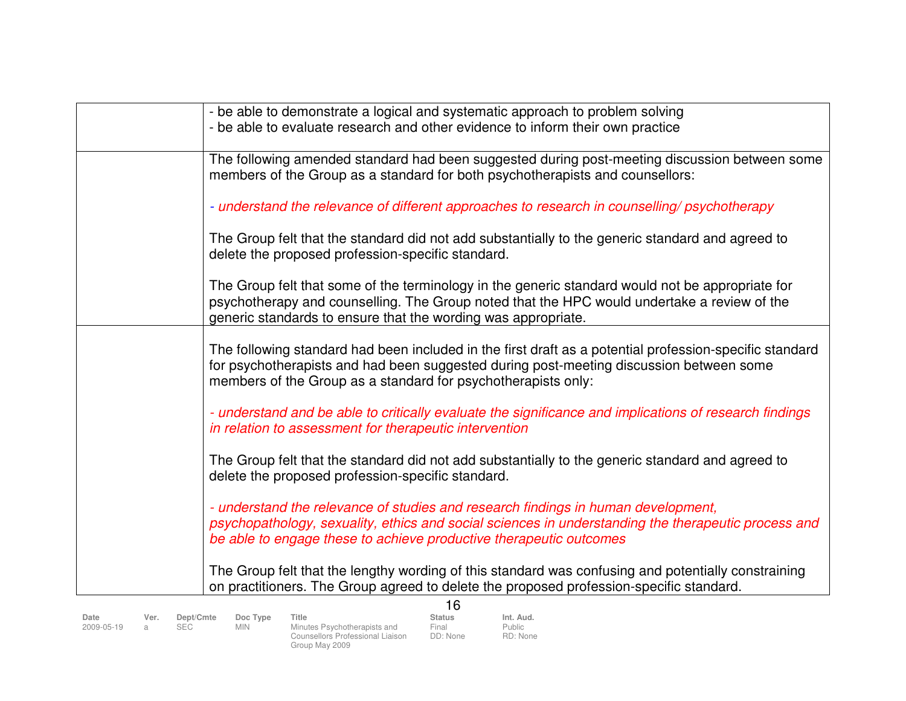| - be able to demonstrate a logical and systematic approach to problem solving                           |
|---------------------------------------------------------------------------------------------------------|
| - be able to evaluate research and other evidence to inform their own practice                          |
|                                                                                                         |
| The following amended standard had been suggested during post-meeting discussion between some           |
| members of the Group as a standard for both psychotherapists and counsellors:                           |
|                                                                                                         |
| - understand the relevance of different approaches to research in counselling/ psychotherapy            |
|                                                                                                         |
| The Group felt that the standard did not add substantially to the generic standard and agreed to        |
| delete the proposed profession-specific standard.                                                       |
|                                                                                                         |
|                                                                                                         |
| The Group felt that some of the terminology in the generic standard would not be appropriate for        |
| psychotherapy and counselling. The Group noted that the HPC would undertake a review of the             |
| generic standards to ensure that the wording was appropriate.                                           |
|                                                                                                         |
| The following standard had been included in the first draft as a potential profession-specific standard |
| for psychotherapists and had been suggested during post-meeting discussion between some                 |
| members of the Group as a standard for psychotherapists only:                                           |
|                                                                                                         |
| - understand and be able to critically evaluate the significance and implications of research findings  |
| in relation to assessment for therapeutic intervention                                                  |
|                                                                                                         |
| The Group felt that the standard did not add substantially to the generic standard and agreed to        |
| delete the proposed profession-specific standard.                                                       |
|                                                                                                         |
| - understand the relevance of studies and research findings in human development,                       |
| psychopathology, sexuality, ethics and social sciences in understanding the therapeutic process and     |
| be able to engage these to achieve productive therapeutic outcomes                                      |
|                                                                                                         |
| The Group felt that the lengthy wording of this standard was confusing and potentially constraining     |
| on practitioners. The Group agreed to delete the proposed profession-specific standard.                 |
|                                                                                                         |
| 16                                                                                                      |

| Date<br>2009-05-19 | Ver. | Dept/Cmte<br>SEC. | Doc Type<br>MIN. | Title<br>Minutes Psychotherapists and<br>Counsellors Professional Liaison<br>Group May 2009 | <b>Status</b><br>Final<br>DD: None | Int. Aud.<br>Public<br>RD: None |
|--------------------|------|-------------------|------------------|---------------------------------------------------------------------------------------------|------------------------------------|---------------------------------|
|                    |      |                   |                  |                                                                                             |                                    |                                 |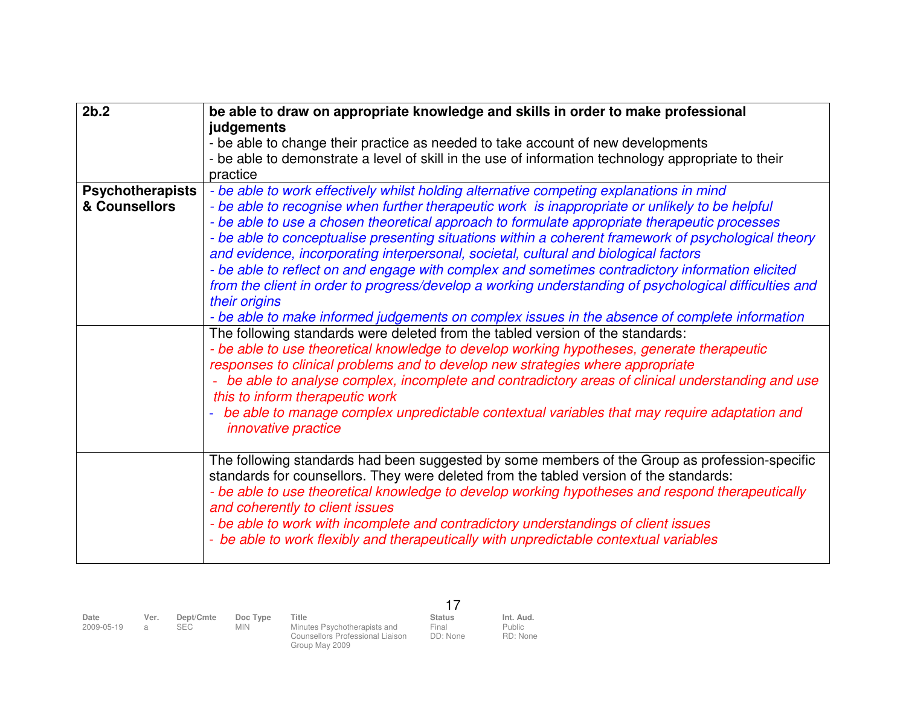| 2b.2                    | be able to draw on appropriate knowledge and skills in order to make professional                                                     |
|-------------------------|---------------------------------------------------------------------------------------------------------------------------------------|
|                         | judgements                                                                                                                            |
|                         | - be able to change their practice as needed to take account of new developments                                                      |
|                         | - be able to demonstrate a level of skill in the use of information technology appropriate to their                                   |
|                         | practice                                                                                                                              |
| <b>Psychotherapists</b> | - be able to work effectively whilst holding alternative competing explanations in mind                                               |
| & Counsellors           | - be able to recognise when further therapeutic work is inappropriate or unlikely to be helpful                                       |
|                         | - be able to use a chosen theoretical approach to formulate appropriate therapeutic processes                                         |
|                         | - be able to conceptualise presenting situations within a coherent framework of psychological theory                                  |
|                         | and evidence, incorporating interpersonal, societal, cultural and biological factors                                                  |
|                         | - be able to reflect on and engage with complex and sometimes contradictory information elicited                                      |
|                         | from the client in order to progress/develop a working understanding of psychological difficulties and                                |
|                         | their origins                                                                                                                         |
|                         | - be able to make informed judgements on complex issues in the absence of complete information                                        |
|                         | The following standards were deleted from the tabled version of the standards:                                                        |
|                         | - be able to use theoretical knowledge to develop working hypotheses, generate therapeutic                                            |
|                         | responses to clinical problems and to develop new strategies where appropriate                                                        |
|                         | - be able to analyse complex, incomplete and contradictory areas of clinical understanding and use<br>this to inform therapeutic work |
|                         | be able to manage complex unpredictable contextual variables that may require adaptation and                                          |
|                         | <i>innovative practice</i>                                                                                                            |
|                         |                                                                                                                                       |
|                         | The following standards had been suggested by some members of the Group as profession-specific                                        |
|                         | standards for counsellors. They were deleted from the tabled version of the standards:                                                |
|                         | - be able to use theoretical knowledge to develop working hypotheses and respond therapeutically<br>and coherently to client issues   |
|                         | - be able to work with incomplete and contradictory understandings of client issues                                                   |
|                         | - be able to work flexibly and therapeutically with unpredictable contextual variables                                                |
|                         |                                                                                                                                       |

| Date<br>2009-05-19 | Ver. | Dept/Cmte<br>SEC | Doc Type<br><b>MIN</b> | Title<br>Minutes Psychotherapists and<br><b>Counsellors Professional Liaison</b><br>Group May 2009 | <b>Status</b><br>Final<br>DD: None | Int. Aud.<br>Public<br>RD: None |
|--------------------|------|------------------|------------------------|----------------------------------------------------------------------------------------------------|------------------------------------|---------------------------------|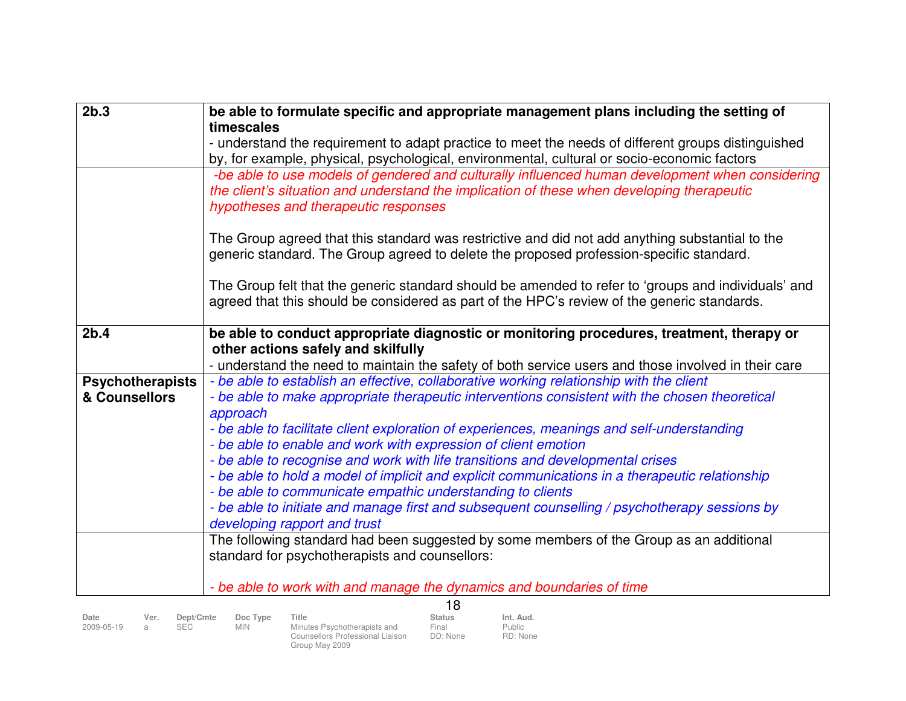| timescales<br>- understand the requirement to adapt practice to meet the needs of different groups distinguished<br>by, for example, physical, psychological, environmental, cultural or socio-economic factors<br>-be able to use models of gendered and culturally influenced human development when considering<br>the client's situation and understand the implication of these when developing therapeutic<br>hypotheses and therapeutic responses<br>The Group agreed that this standard was restrictive and did not add anything substantial to the<br>generic standard. The Group agreed to delete the proposed profession-specific standard.<br>The Group felt that the generic standard should be amended to refer to 'groups and individuals' and<br>agreed that this should be considered as part of the HPC's review of the generic standards.<br>2 <sub>b.4</sub><br>be able to conduct appropriate diagnostic or monitoring procedures, treatment, therapy or<br>other actions safely and skilfully<br>- understand the need to maintain the safety of both service users and those involved in their care<br>- be able to establish an effective, collaborative working relationship with the client<br><b>Psychotherapists</b> |  |
|--------------------------------------------------------------------------------------------------------------------------------------------------------------------------------------------------------------------------------------------------------------------------------------------------------------------------------------------------------------------------------------------------------------------------------------------------------------------------------------------------------------------------------------------------------------------------------------------------------------------------------------------------------------------------------------------------------------------------------------------------------------------------------------------------------------------------------------------------------------------------------------------------------------------------------------------------------------------------------------------------------------------------------------------------------------------------------------------------------------------------------------------------------------------------------------------------------------------------------------------------|--|
|                                                                                                                                                                                                                                                                                                                                                                                                                                                                                                                                                                                                                                                                                                                                                                                                                                                                                                                                                                                                                                                                                                                                                                                                                                                  |  |
|                                                                                                                                                                                                                                                                                                                                                                                                                                                                                                                                                                                                                                                                                                                                                                                                                                                                                                                                                                                                                                                                                                                                                                                                                                                  |  |
|                                                                                                                                                                                                                                                                                                                                                                                                                                                                                                                                                                                                                                                                                                                                                                                                                                                                                                                                                                                                                                                                                                                                                                                                                                                  |  |
|                                                                                                                                                                                                                                                                                                                                                                                                                                                                                                                                                                                                                                                                                                                                                                                                                                                                                                                                                                                                                                                                                                                                                                                                                                                  |  |
|                                                                                                                                                                                                                                                                                                                                                                                                                                                                                                                                                                                                                                                                                                                                                                                                                                                                                                                                                                                                                                                                                                                                                                                                                                                  |  |
|                                                                                                                                                                                                                                                                                                                                                                                                                                                                                                                                                                                                                                                                                                                                                                                                                                                                                                                                                                                                                                                                                                                                                                                                                                                  |  |
|                                                                                                                                                                                                                                                                                                                                                                                                                                                                                                                                                                                                                                                                                                                                                                                                                                                                                                                                                                                                                                                                                                                                                                                                                                                  |  |
|                                                                                                                                                                                                                                                                                                                                                                                                                                                                                                                                                                                                                                                                                                                                                                                                                                                                                                                                                                                                                                                                                                                                                                                                                                                  |  |
|                                                                                                                                                                                                                                                                                                                                                                                                                                                                                                                                                                                                                                                                                                                                                                                                                                                                                                                                                                                                                                                                                                                                                                                                                                                  |  |
|                                                                                                                                                                                                                                                                                                                                                                                                                                                                                                                                                                                                                                                                                                                                                                                                                                                                                                                                                                                                                                                                                                                                                                                                                                                  |  |
|                                                                                                                                                                                                                                                                                                                                                                                                                                                                                                                                                                                                                                                                                                                                                                                                                                                                                                                                                                                                                                                                                                                                                                                                                                                  |  |
|                                                                                                                                                                                                                                                                                                                                                                                                                                                                                                                                                                                                                                                                                                                                                                                                                                                                                                                                                                                                                                                                                                                                                                                                                                                  |  |
|                                                                                                                                                                                                                                                                                                                                                                                                                                                                                                                                                                                                                                                                                                                                                                                                                                                                                                                                                                                                                                                                                                                                                                                                                                                  |  |
|                                                                                                                                                                                                                                                                                                                                                                                                                                                                                                                                                                                                                                                                                                                                                                                                                                                                                                                                                                                                                                                                                                                                                                                                                                                  |  |
|                                                                                                                                                                                                                                                                                                                                                                                                                                                                                                                                                                                                                                                                                                                                                                                                                                                                                                                                                                                                                                                                                                                                                                                                                                                  |  |
| & Counsellors<br>- be able to make appropriate therapeutic interventions consistent with the chosen theoretical                                                                                                                                                                                                                                                                                                                                                                                                                                                                                                                                                                                                                                                                                                                                                                                                                                                                                                                                                                                                                                                                                                                                  |  |
| approach                                                                                                                                                                                                                                                                                                                                                                                                                                                                                                                                                                                                                                                                                                                                                                                                                                                                                                                                                                                                                                                                                                                                                                                                                                         |  |
| - be able to facilitate client exploration of experiences, meanings and self-understanding                                                                                                                                                                                                                                                                                                                                                                                                                                                                                                                                                                                                                                                                                                                                                                                                                                                                                                                                                                                                                                                                                                                                                       |  |
| - be able to enable and work with expression of client emotion<br>- be able to recognise and work with life transitions and developmental crises                                                                                                                                                                                                                                                                                                                                                                                                                                                                                                                                                                                                                                                                                                                                                                                                                                                                                                                                                                                                                                                                                                 |  |
| - be able to hold a model of implicit and explicit communications in a therapeutic relationship                                                                                                                                                                                                                                                                                                                                                                                                                                                                                                                                                                                                                                                                                                                                                                                                                                                                                                                                                                                                                                                                                                                                                  |  |
| - be able to communicate empathic understanding to clients                                                                                                                                                                                                                                                                                                                                                                                                                                                                                                                                                                                                                                                                                                                                                                                                                                                                                                                                                                                                                                                                                                                                                                                       |  |
| - be able to initiate and manage first and subsequent counselling / psychotherapy sessions by                                                                                                                                                                                                                                                                                                                                                                                                                                                                                                                                                                                                                                                                                                                                                                                                                                                                                                                                                                                                                                                                                                                                                    |  |
| developing rapport and trust                                                                                                                                                                                                                                                                                                                                                                                                                                                                                                                                                                                                                                                                                                                                                                                                                                                                                                                                                                                                                                                                                                                                                                                                                     |  |
| The following standard had been suggested by some members of the Group as an additional                                                                                                                                                                                                                                                                                                                                                                                                                                                                                                                                                                                                                                                                                                                                                                                                                                                                                                                                                                                                                                                                                                                                                          |  |
| standard for psychotherapists and counsellors:                                                                                                                                                                                                                                                                                                                                                                                                                                                                                                                                                                                                                                                                                                                                                                                                                                                                                                                                                                                                                                                                                                                                                                                                   |  |
|                                                                                                                                                                                                                                                                                                                                                                                                                                                                                                                                                                                                                                                                                                                                                                                                                                                                                                                                                                                                                                                                                                                                                                                                                                                  |  |
| - be able to work with and manage the dynamics and boundaries of time                                                                                                                                                                                                                                                                                                                                                                                                                                                                                                                                                                                                                                                                                                                                                                                                                                                                                                                                                                                                                                                                                                                                                                            |  |
| 18<br>Int. Aud.<br>Date<br>Ver.<br>Dept/Cmte<br>Doc Type<br>Title<br><b>Status</b>                                                                                                                                                                                                                                                                                                                                                                                                                                                                                                                                                                                                                                                                                                                                                                                                                                                                                                                                                                                                                                                                                                                                                               |  |

Final<br>DD: None

2009-05-19 a SEC MIN Minutes Psychotherapists and Counsellors Professional Liaison Group May 2009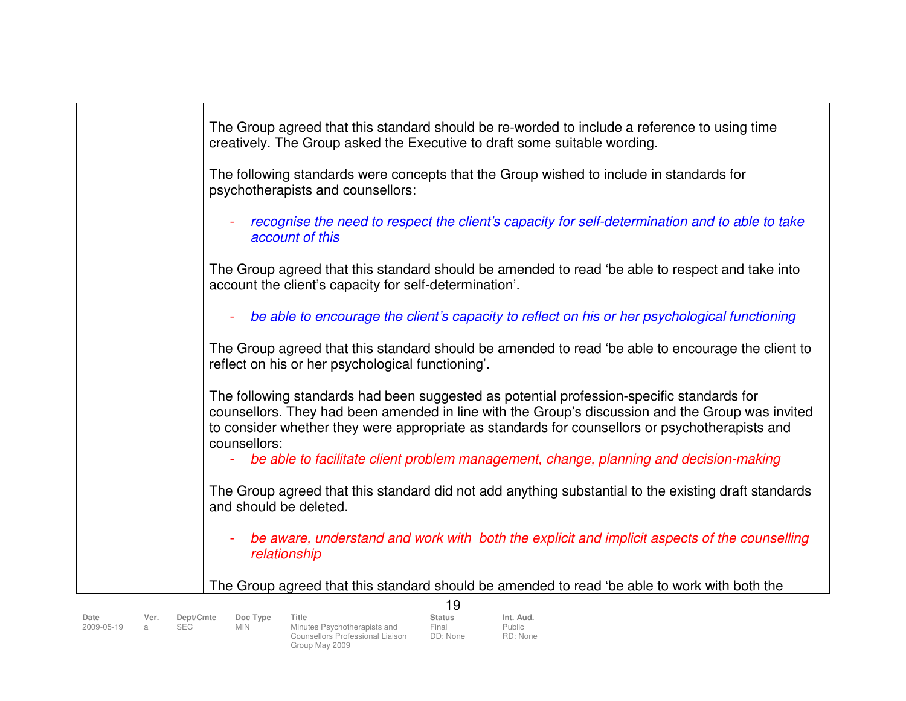| The Group agreed that this standard should be re-worded to include a reference to using time<br>creatively. The Group asked the Executive to draft some suitable wording.                                                                                                                                                                                                                                |
|----------------------------------------------------------------------------------------------------------------------------------------------------------------------------------------------------------------------------------------------------------------------------------------------------------------------------------------------------------------------------------------------------------|
| The following standards were concepts that the Group wished to include in standards for<br>psychotherapists and counsellors:                                                                                                                                                                                                                                                                             |
| recognise the need to respect the client's capacity for self-determination and to able to take<br>account of this                                                                                                                                                                                                                                                                                        |
| The Group agreed that this standard should be amended to read 'be able to respect and take into<br>account the client's capacity for self-determination'.                                                                                                                                                                                                                                                |
| be able to encourage the client's capacity to reflect on his or her psychological functioning                                                                                                                                                                                                                                                                                                            |
| The Group agreed that this standard should be amended to read 'be able to encourage the client to<br>reflect on his or her psychological functioning'.                                                                                                                                                                                                                                                   |
| The following standards had been suggested as potential profession-specific standards for<br>counsellors. They had been amended in line with the Group's discussion and the Group was invited<br>to consider whether they were appropriate as standards for counsellors or psychotherapists and<br>counsellors:<br>be able to facilitate client problem management, change, planning and decision-making |
| The Group agreed that this standard did not add anything substantial to the existing draft standards<br>and should be deleted.                                                                                                                                                                                                                                                                           |
| be aware, understand and work with both the explicit and implicit aspects of the counselling<br>relationship                                                                                                                                                                                                                                                                                             |
| The Group agreed that this standard should be amended to read 'be able to work with both the                                                                                                                                                                                                                                                                                                             |
| 19                                                                                                                                                                                                                                                                                                                                                                                                       |

| Date<br>2009-05-19 | Ver. | Dept/Cmte<br><b>SEC</b> | Doc Type<br><b>MIN</b> | Title<br>Minutes Psychotherapists and<br>Counsellors Professional Liaison<br>Group May 2009 | <b>Status</b><br>Final<br>DD: None | Int. Aud.<br>Public<br>RD: None |
|--------------------|------|-------------------------|------------------------|---------------------------------------------------------------------------------------------|------------------------------------|---------------------------------|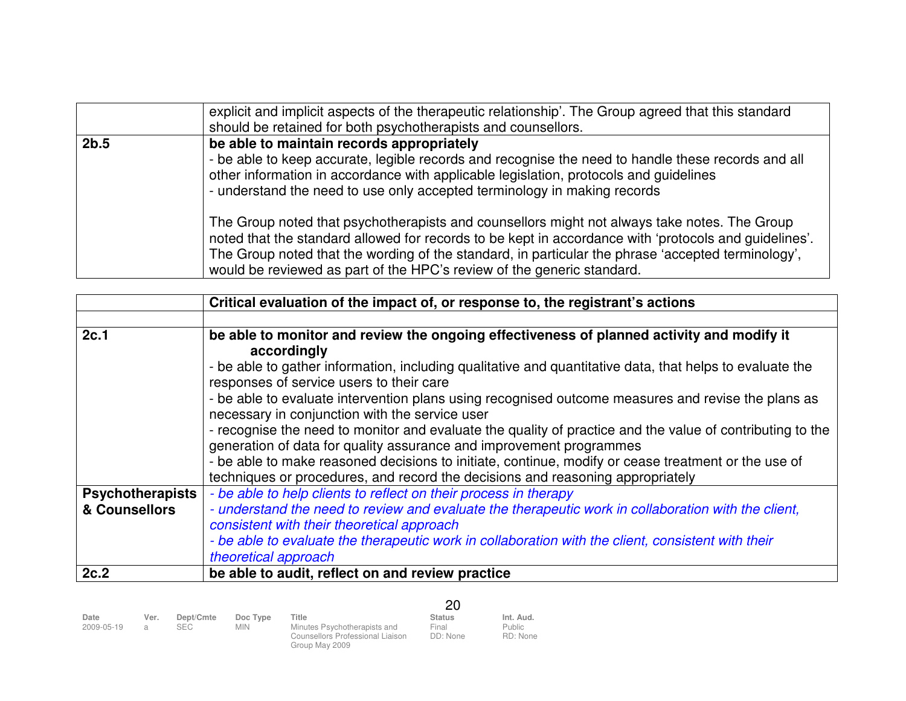|      | explicit and implicit aspects of the therapeutic relationship'. The Group agreed that this standard<br>should be retained for both psychotherapists and counsellors.                                                                                                                                                                                                                                                                                                                                                                                                                                                                                                                                          |
|------|---------------------------------------------------------------------------------------------------------------------------------------------------------------------------------------------------------------------------------------------------------------------------------------------------------------------------------------------------------------------------------------------------------------------------------------------------------------------------------------------------------------------------------------------------------------------------------------------------------------------------------------------------------------------------------------------------------------|
| 2b.5 | be able to maintain records appropriately<br>- be able to keep accurate, legible records and recognise the need to handle these records and all<br>other information in accordance with applicable legislation, protocols and guidelines<br>- understand the need to use only accepted terminology in making records<br>The Group noted that psychotherapists and counsellors might not always take notes. The Group<br>noted that the standard allowed for records to be kept in accordance with 'protocols and guidelines'.<br>The Group noted that the wording of the standard, in particular the phrase 'accepted terminology',<br>would be reviewed as part of the HPC's review of the generic standard. |

|                         | Critical evaluation of the impact of, or response to, the registrant's actions                            |  |  |  |  |  |  |
|-------------------------|-----------------------------------------------------------------------------------------------------------|--|--|--|--|--|--|
|                         |                                                                                                           |  |  |  |  |  |  |
| 2c.1                    | be able to monitor and review the ongoing effectiveness of planned activity and modify it                 |  |  |  |  |  |  |
|                         | accordingly                                                                                               |  |  |  |  |  |  |
|                         | - be able to gather information, including qualitative and quantitative data, that helps to evaluate the  |  |  |  |  |  |  |
|                         | responses of service users to their care                                                                  |  |  |  |  |  |  |
|                         | - be able to evaluate intervention plans using recognised outcome measures and revise the plans as        |  |  |  |  |  |  |
|                         | necessary in conjunction with the service user                                                            |  |  |  |  |  |  |
|                         | - recognise the need to monitor and evaluate the quality of practice and the value of contributing to the |  |  |  |  |  |  |
|                         | generation of data for quality assurance and improvement programmes                                       |  |  |  |  |  |  |
|                         | - be able to make reasoned decisions to initiate, continue, modify or cease treatment or the use of       |  |  |  |  |  |  |
|                         | techniques or procedures, and record the decisions and reasoning appropriately                            |  |  |  |  |  |  |
| <b>Psychotherapists</b> | - be able to help clients to reflect on their process in therapy                                          |  |  |  |  |  |  |
| & Counsellors           | - understand the need to review and evaluate the therapeutic work in collaboration with the client,       |  |  |  |  |  |  |
|                         | consistent with their theoretical approach                                                                |  |  |  |  |  |  |
|                         | - be able to evaluate the therapeutic work in collaboration with the client, consistent with their        |  |  |  |  |  |  |
|                         | theoretical approach                                                                                      |  |  |  |  |  |  |
| 2c.2                    | be able to audit, reflect on and review practice                                                          |  |  |  |  |  |  |

|                    |                        |                         |                        |                                                                                             | 20                                 |                                        |
|--------------------|------------------------|-------------------------|------------------------|---------------------------------------------------------------------------------------------|------------------------------------|----------------------------------------|
| Date<br>2009-05-19 | Ver.<br>$\overline{a}$ | Dept/Cmte<br><b>SEC</b> | Doc Type<br><b>MIN</b> | Title<br>Minutes Psychotherapists and<br>Counsellors Professional Liaison<br>Group May 2009 | <b>Status</b><br>Final<br>DD: None | Int. Aud.<br><b>Public</b><br>RD: None |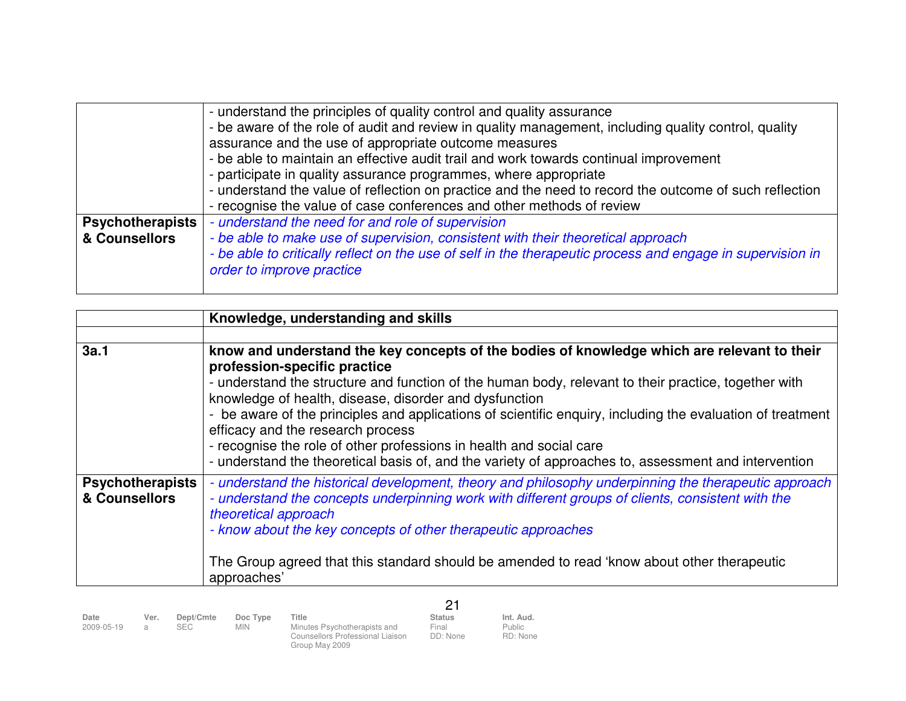|                                          | - understand the principles of quality control and quality assurance<br>- be aware of the role of audit and review in quality management, including quality control, quality<br>assurance and the use of appropriate outcome measures<br>- be able to maintain an effective audit trail and work towards continual improvement<br>- participate in quality assurance programmes, where appropriate<br>- understand the value of reflection on practice and the need to record the outcome of such reflection<br>- recognise the value of case conferences and other methods of review |
|------------------------------------------|---------------------------------------------------------------------------------------------------------------------------------------------------------------------------------------------------------------------------------------------------------------------------------------------------------------------------------------------------------------------------------------------------------------------------------------------------------------------------------------------------------------------------------------------------------------------------------------|
| <b>Psychotherapists</b><br>& Counsellors | - understand the need for and role of supervision<br>- be able to make use of supervision, consistent with their theoretical approach<br>- be able to critically reflect on the use of self in the therapeutic process and engage in supervision in<br>order to improve practice                                                                                                                                                                                                                                                                                                      |

|                                          | Knowledge, understanding and skills                                                                                                                                                                                                                                                                                                                                                                                                                                                                                                                                                                                             |
|------------------------------------------|---------------------------------------------------------------------------------------------------------------------------------------------------------------------------------------------------------------------------------------------------------------------------------------------------------------------------------------------------------------------------------------------------------------------------------------------------------------------------------------------------------------------------------------------------------------------------------------------------------------------------------|
|                                          |                                                                                                                                                                                                                                                                                                                                                                                                                                                                                                                                                                                                                                 |
| 3a.1                                     | know and understand the key concepts of the bodies of knowledge which are relevant to their<br>profession-specific practice<br>- understand the structure and function of the human body, relevant to their practice, together with<br>knowledge of health, disease, disorder and dysfunction<br>- be aware of the principles and applications of scientific enquiry, including the evaluation of treatment<br>efficacy and the research process<br>- recognise the role of other professions in health and social care<br>- understand the theoretical basis of, and the variety of approaches to, assessment and intervention |
| <b>Psychotherapists</b><br>& Counsellors | - understand the historical development, theory and philosophy underpinning the therapeutic approach<br>- understand the concepts underpinning work with different groups of clients, consistent with the<br>theoretical approach<br>- know about the key concepts of other therapeutic approaches<br>The Group agreed that this standard should be amended to read 'know about other therapeutic<br>approaches'                                                                                                                                                                                                                |

| Date<br>2009-05-19 | Ver.<br>$\mathcal{A}$ | Dept/Cmte<br>SEC. | Doc Type<br><b>MIN</b> | Title<br>Minutes Psychotherapists and<br>Counsellors Professional Liaison<br>Group May 2009 | <b>Status</b><br>Final<br>DD: None | Int. Aud.<br>Public<br>RD: None |
|--------------------|-----------------------|-------------------|------------------------|---------------------------------------------------------------------------------------------|------------------------------------|---------------------------------|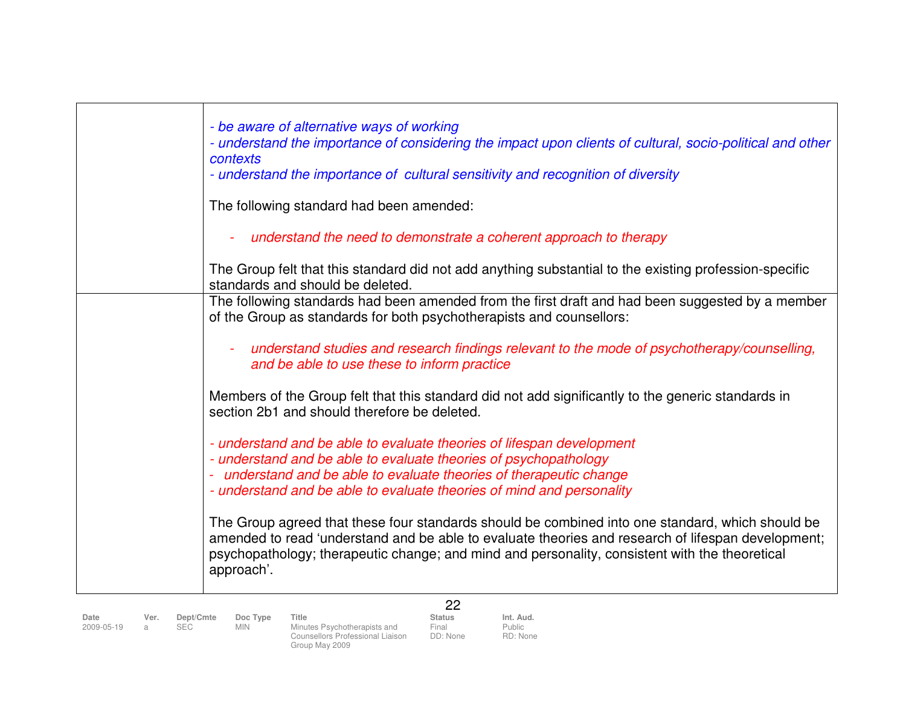| - be aware of alternative ways of working<br>- understand the importance of considering the impact upon clients of cultural, socio-political and other<br>contexts<br>- understand the importance of cultural sensitivity and recognition of diversity                                                                 |
|------------------------------------------------------------------------------------------------------------------------------------------------------------------------------------------------------------------------------------------------------------------------------------------------------------------------|
| The following standard had been amended:                                                                                                                                                                                                                                                                               |
| understand the need to demonstrate a coherent approach to therapy                                                                                                                                                                                                                                                      |
| The Group felt that this standard did not add anything substantial to the existing profession-specific<br>standards and should be deleted.                                                                                                                                                                             |
| The following standards had been amended from the first draft and had been suggested by a member<br>of the Group as standards for both psychotherapists and counsellors:                                                                                                                                               |
| understand studies and research findings relevant to the mode of psychotherapy/counselling,<br>and be able to use these to inform practice                                                                                                                                                                             |
| Members of the Group felt that this standard did not add significantly to the generic standards in<br>section 2b1 and should therefore be deleted.                                                                                                                                                                     |
| - understand and be able to evaluate theories of lifespan development<br>- understand and be able to evaluate theories of psychopathology<br>- understand and be able to evaluate theories of therapeutic change<br>- understand and be able to evaluate theories of mind and personality                              |
| The Group agreed that these four standards should be combined into one standard, which should be<br>amended to read 'understand and be able to evaluate theories and research of lifespan development;<br>psychopathology; therapeutic change; and mind and personality, consistent with the theoretical<br>approach'. |
| 22                                                                                                                                                                                                                                                                                                                     |

**Date Ver. Dept/Cmte Doc Type Title Status Int. Aud.**2009-05-19 a SEC MIN Minutes Psychotherapists and Counsellors Professional Liaison Group May 2009

Public RD: None

Final<br>DD: None

Status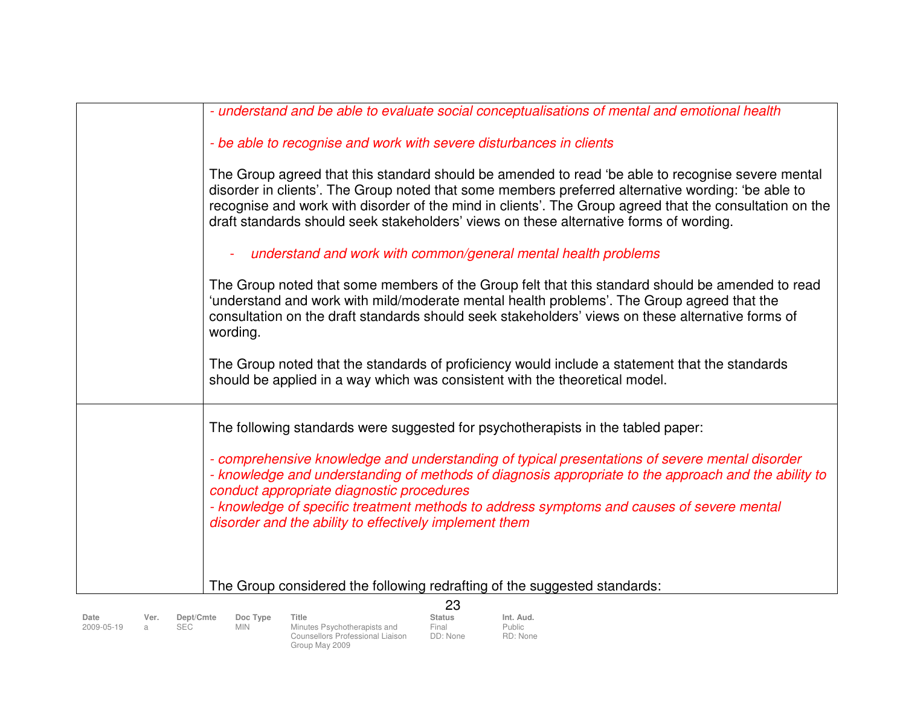| - understand and be able to evaluate social conceptualisations of mental and emotional health                                                                                                                                                                                                                                                                                                                |
|--------------------------------------------------------------------------------------------------------------------------------------------------------------------------------------------------------------------------------------------------------------------------------------------------------------------------------------------------------------------------------------------------------------|
| - be able to recognise and work with severe disturbances in clients                                                                                                                                                                                                                                                                                                                                          |
| The Group agreed that this standard should be amended to read 'be able to recognise severe mental<br>disorder in clients'. The Group noted that some members preferred alternative wording: 'be able to<br>recognise and work with disorder of the mind in clients'. The Group agreed that the consultation on the<br>draft standards should seek stakeholders' views on these alternative forms of wording. |
| understand and work with common/general mental health problems                                                                                                                                                                                                                                                                                                                                               |
| The Group noted that some members of the Group felt that this standard should be amended to read<br>'understand and work with mild/moderate mental health problems'. The Group agreed that the<br>consultation on the draft standards should seek stakeholders' views on these alternative forms of<br>wording.                                                                                              |
| The Group noted that the standards of proficiency would include a statement that the standards<br>should be applied in a way which was consistent with the theoretical model.                                                                                                                                                                                                                                |
| The following standards were suggested for psychotherapists in the tabled paper:                                                                                                                                                                                                                                                                                                                             |
| - comprehensive knowledge and understanding of typical presentations of severe mental disorder<br>- knowledge and understanding of methods of diagnosis appropriate to the approach and the ability to<br>conduct appropriate diagnostic procedures<br>- knowledge of specific treatment methods to address symptoms and causes of severe mental<br>disorder and the ability to effectively implement them   |
|                                                                                                                                                                                                                                                                                                                                                                                                              |
| The Group considered the following redrafting of the suggested standards:                                                                                                                                                                                                                                                                                                                                    |
| 23                                                                                                                                                                                                                                                                                                                                                                                                           |

| Date<br>Title<br>Dept/Cmte<br>Doc Type<br><b>Status</b><br>Ver.<br>Final<br>Minutes Psychotherapists and<br>Min<br>2009-05-19<br>DD: None<br>Counsellors Professional Liaison<br>Group May 2009 | Int. Aud.<br><b>Public</b><br>RD: None |
|-------------------------------------------------------------------------------------------------------------------------------------------------------------------------------------------------|----------------------------------------|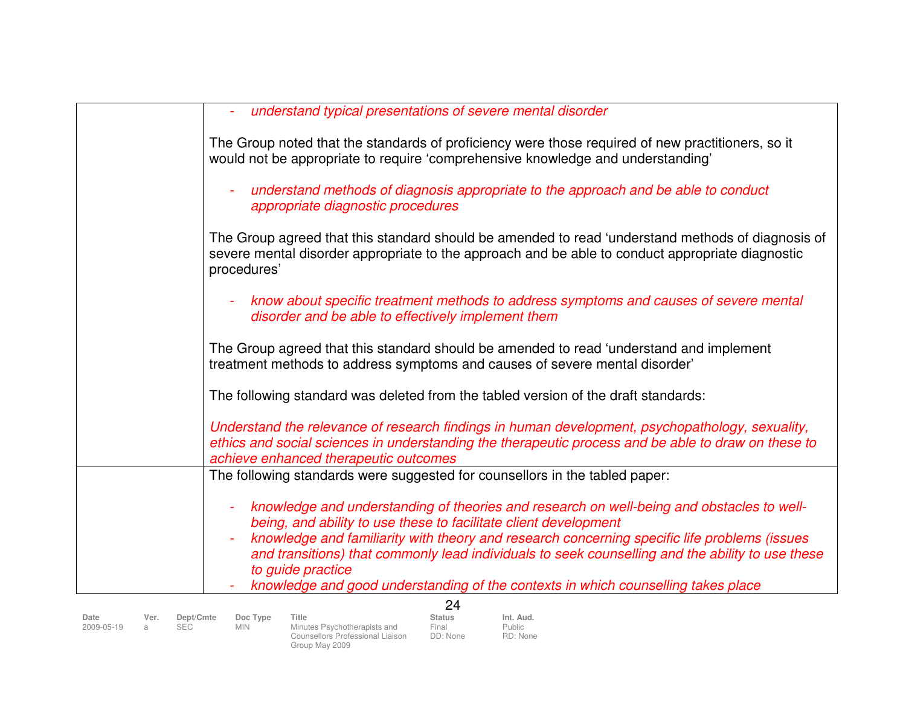| understand typical presentations of severe mental disorder                                                                                                                                                                                      |
|-------------------------------------------------------------------------------------------------------------------------------------------------------------------------------------------------------------------------------------------------|
| The Group noted that the standards of proficiency were those required of new practitioners, so it<br>would not be appropriate to require 'comprehensive knowledge and understanding'                                                            |
| understand methods of diagnosis appropriate to the approach and be able to conduct<br>appropriate diagnostic procedures                                                                                                                         |
| The Group agreed that this standard should be amended to read 'understand methods of diagnosis of<br>severe mental disorder appropriate to the approach and be able to conduct appropriate diagnostic<br>procedures'                            |
| know about specific treatment methods to address symptoms and causes of severe mental<br>disorder and be able to effectively implement them                                                                                                     |
| The Group agreed that this standard should be amended to read 'understand and implement<br>treatment methods to address symptoms and causes of severe mental disorder'                                                                          |
| The following standard was deleted from the tabled version of the draft standards:                                                                                                                                                              |
| Understand the relevance of research findings in human development, psychopathology, sexuality,<br>ethics and social sciences in understanding the therapeutic process and be able to draw on these to<br>achieve enhanced therapeutic outcomes |
| The following standards were suggested for counsellors in the tabled paper:                                                                                                                                                                     |
| knowledge and understanding of theories and research on well-being and obstacles to well-<br>being, and ability to use these to facilitate client development                                                                                   |
| knowledge and familiarity with theory and research concerning specific life problems (issues<br>and transitions) that commonly lead individuals to seek counselling and the ability to use these<br>to guide practice                           |
| knowledge and good understanding of the contexts in which counselling takes place                                                                                                                                                               |
| 24                                                                                                                                                                                                                                              |

|            |      |            |          |                                  | டா            |           |
|------------|------|------------|----------|----------------------------------|---------------|-----------|
| Date       | Ver. | Dept/Cmte  | Doc Type | Title                            | <b>Status</b> | Int. Aud. |
| 2009-05-19 |      | <b>SEC</b> | MIN      | Minutes Psychotherapists and     | Final         | Public    |
|            |      |            |          | Counsellors Professional Liaison | DD: None      | RD: None  |
|            |      |            |          | Group May 2009                   |               |           |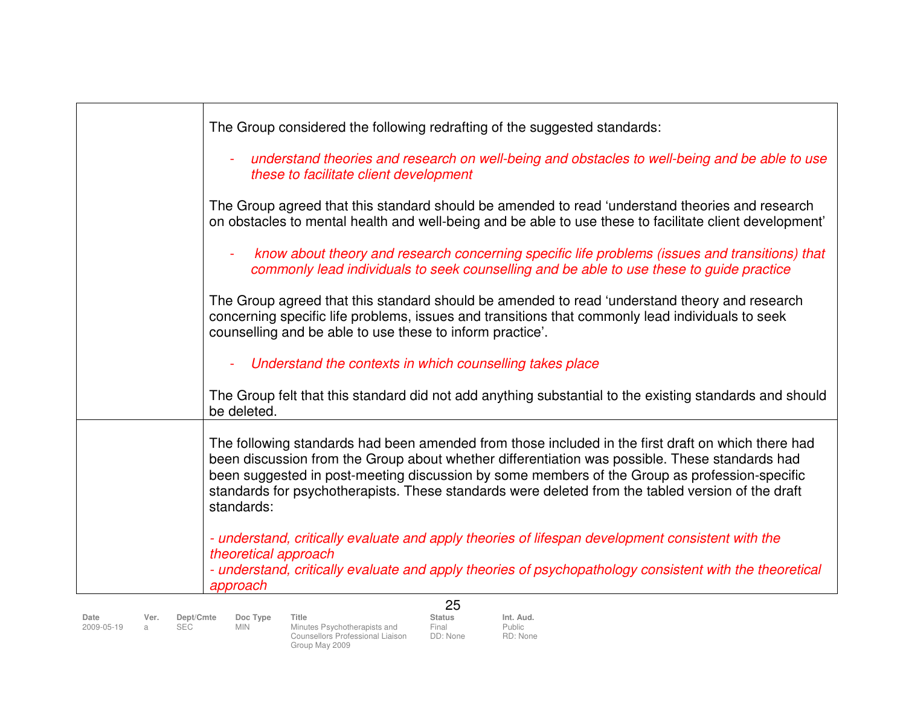|              | The Group considered the following redrafting of the suggested standards:                                                                                                                                                                                                                                                                                                                                                |
|--------------|--------------------------------------------------------------------------------------------------------------------------------------------------------------------------------------------------------------------------------------------------------------------------------------------------------------------------------------------------------------------------------------------------------------------------|
|              | understand theories and research on well-being and obstacles to well-being and be able to use<br>these to facilitate client development                                                                                                                                                                                                                                                                                  |
|              | The Group agreed that this standard should be amended to read 'understand theories and research<br>on obstacles to mental health and well-being and be able to use these to facilitate client development'                                                                                                                                                                                                               |
|              | know about theory and research concerning specific life problems (issues and transitions) that<br>commonly lead individuals to seek counselling and be able to use these to guide practice                                                                                                                                                                                                                               |
|              | The Group agreed that this standard should be amended to read 'understand theory and research<br>concerning specific life problems, issues and transitions that commonly lead individuals to seek<br>counselling and be able to use these to inform practice'.                                                                                                                                                           |
|              | Understand the contexts in which counselling takes place                                                                                                                                                                                                                                                                                                                                                                 |
|              | The Group felt that this standard did not add anything substantial to the existing standards and should<br>be deleted.                                                                                                                                                                                                                                                                                                   |
|              | The following standards had been amended from those included in the first draft on which there had<br>been discussion from the Group about whether differentiation was possible. These standards had<br>been suggested in post-meeting discussion by some members of the Group as profession-specific<br>standards for psychotherapists. These standards were deleted from the tabled version of the draft<br>standards: |
|              | - understand, critically evaluate and apply theories of lifespan development consistent with the<br>theoretical approach                                                                                                                                                                                                                                                                                                 |
|              | - understand, critically evaluate and apply theories of psychopathology consistent with the theoretical<br>approach                                                                                                                                                                                                                                                                                                      |
|              | 25                                                                                                                                                                                                                                                                                                                                                                                                                       |
| Date<br>Ver. | <b>Status</b><br>Int. Aud.<br>Dept/Cmte<br>Doc Type<br>Title                                                                                                                                                                                                                                                                                                                                                             |

|        | $V = I$ . | <b>Deptioning</b> |
|--------|-----------|-------------------|
| -05-19 | a         | <b>SEC</b>        |
|        |           |                   |

**Date Ver. Dept/Cmte Doc Type Title Status Int. Aud.**2009-05-19 a SEC MIN Minutes Psychotherapists and Counsellors Professional Liaison Group May 2009

Public RD: None

Final<br>DD: None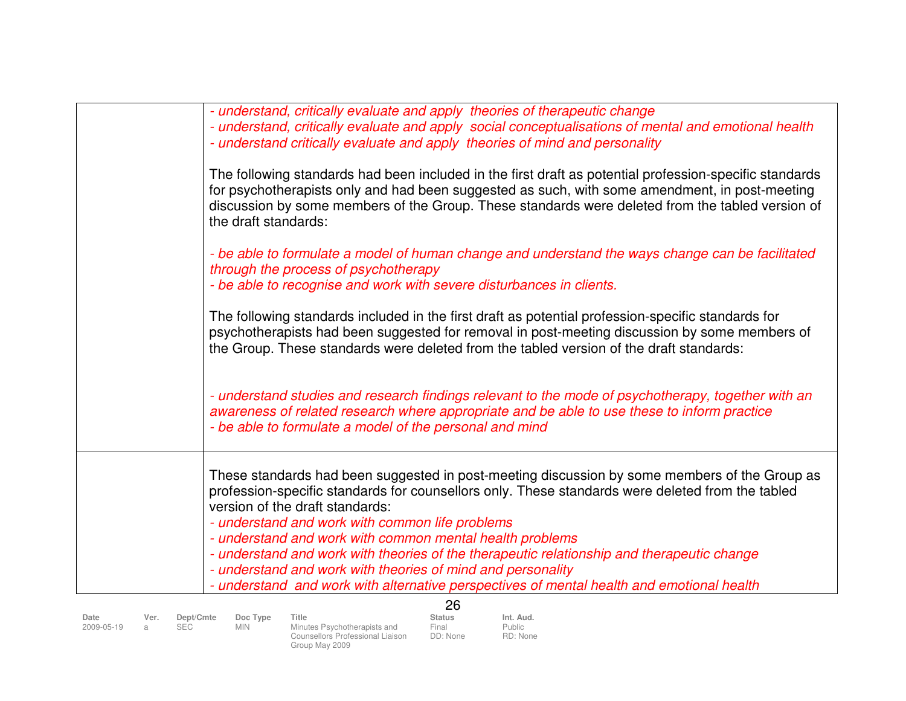| - understand, critically evaluate and apply theories of therapeutic change<br>- understand, critically evaluate and apply social conceptualisations of mental and emotional health<br>- understand critically evaluate and apply theories of mind and personality                                                                                   |
|-----------------------------------------------------------------------------------------------------------------------------------------------------------------------------------------------------------------------------------------------------------------------------------------------------------------------------------------------------|
| The following standards had been included in the first draft as potential profession-specific standards<br>for psychotherapists only and had been suggested as such, with some amendment, in post-meeting<br>discussion by some members of the Group. These standards were deleted from the tabled version of<br>the draft standards:               |
| - be able to formulate a model of human change and understand the ways change can be facilitated<br>through the process of psychotherapy<br>- be able to recognise and work with severe disturbances in clients.                                                                                                                                    |
| The following standards included in the first draft as potential profession-specific standards for<br>psychotherapists had been suggested for removal in post-meeting discussion by some members of<br>the Group. These standards were deleted from the tabled version of the draft standards:                                                      |
| - understand studies and research findings relevant to the mode of psychotherapy, together with an<br>awareness of related research where appropriate and be able to use these to inform practice<br>- be able to formulate a model of the personal and mind                                                                                        |
| These standards had been suggested in post-meeting discussion by some members of the Group as<br>profession-specific standards for counsellors only. These standards were deleted from the tabled<br>version of the draft standards:<br>- understand and work with common life problems<br>- understand and work with common mental health problems |
| - understand and work with theories of the therapeutic relationship and therapeutic change<br>- understand and work with theories of mind and personality<br>- understand and work with alternative perspectives of mental health and emotional health                                                                                              |
| nc.                                                                                                                                                                                                                                                                                                                                                 |

|                    |           |                         |                        |                                                                                             | 26                                 |                                        |
|--------------------|-----------|-------------------------|------------------------|---------------------------------------------------------------------------------------------|------------------------------------|----------------------------------------|
| Date<br>2009-05-19 | Ver.<br>я | Dept/Cmte<br><b>SEC</b> | Doc Type<br><b>MIN</b> | Title<br>Minutes Psychotherapists and<br>Counsellors Professional Liaison<br>Group May 2009 | <b>Status</b><br>Final<br>DD: None | Int. Aud.<br><b>Public</b><br>RD: None |